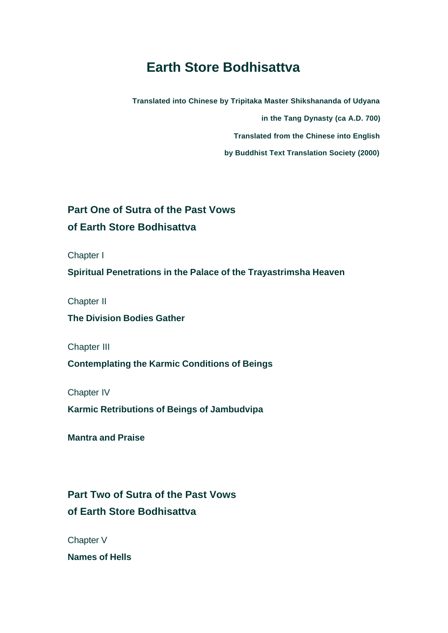# **Earth Store Bodhisattva**

**Translated into Chinese by Tripitaka Master Shikshananda of Udyana** 

**in the Tang Dynasty (ca A.D. 700)**

**Translated from the Chinese into English** 

**by Buddhist Text Translation Society (2000)** 

## **Part One of Sutra of the Past Vows of Earth Store Bodhisattva**

Chapter I

**Spiritual Penetrations in the Palace of the Trayastrimsha Heaven** 

Chapter II

**The Division Bodies Gather** 

Chapter III

**Contemplating the Karmic Conditions of Beings**

Chapter IV

**Karmic Retributions of Beings of Jambudvipa**

**Mantra and Praise**

## **Part Two of Sutra of the Past Vows of Earth Store Bodhisattva**

Chapter V

**Names of Hells**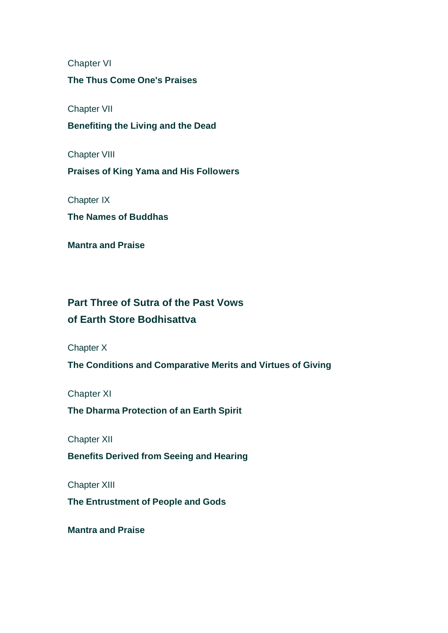Chapter VI

### **The Thus Come One's Praises**

Chapter VII

**Benefiting the Living and the Dead** 

Chapter VIII

**Praises of King Yama and His Followers** 

Chapter IX

**The Names of Buddhas**

**Mantra and Praise**

### **Part Three of Sutra of the Past Vows**

### **of Earth Store Bodhisattva**

Chapter X

**The Conditions and Comparative Merits and Virtues of Giving** 

Chapter XI

**The Dharma Protection of an Earth Spirit** 

Chapter XII

**Benefits Derived from Seeing and Hearing**

Chapter XIII

**The Entrustment of People and Gods**

**Mantra and Praise**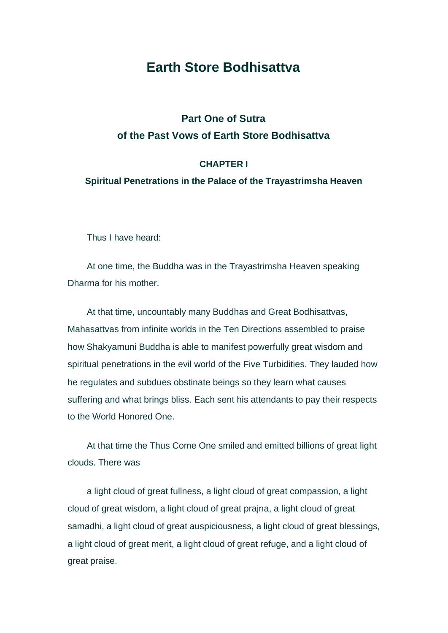### **Earth Store Bodhisattva**

### **Part One of Sutra of the Past Vows of Earth Store Bodhisattva**

#### **CHAPTER I**

#### **Spiritual Penetrations in the Palace of the Trayastrimsha Heaven**

Thus I have heard:

At one time, the Buddha was in the Trayastrimsha Heaven speaking Dharma for his mother.

At that time, uncountably many Buddhas and Great Bodhisattvas, Mahasattvas from infinite worlds in the Ten Directions assembled to praise how Shakyamuni Buddha is able to manifest powerfully great wisdom and spiritual penetrations in the evil world of the Five Turbidities. They lauded how he regulates and subdues obstinate beings so they learn what causes suffering and what brings bliss. Each sent his attendants to pay their respects to the World Honored One.

At that time the Thus Come One smiled and emitted billions of great light clouds. There was

a light cloud of great fullness, a light cloud of great compassion, a light cloud of great wisdom, a light cloud of great prajna, a light cloud of great samadhi, a light cloud of great auspiciousness, a light cloud of great blessings, a light cloud of great merit, a light cloud of great refuge, and a light cloud of great praise.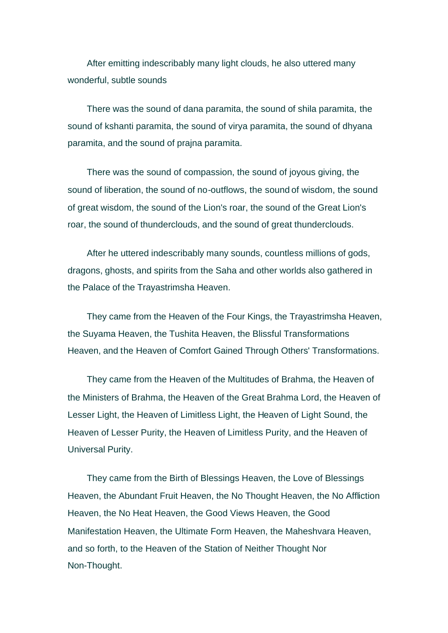After emitting indescribably many light clouds, he also uttered many wonderful, subtle sounds

There was the sound of dana paramita, the sound of shila paramita, the sound of kshanti paramita, the sound of virya paramita, the sound of dhyana paramita, and the sound of prajna paramita.

There was the sound of compassion, the sound of joyous giving, the sound of liberation, the sound of no-outflows, the sound of wisdom, the sound of great wisdom, the sound of the Lion's roar, the sound of the Great Lion's roar, the sound of thunderclouds, and the sound of great thunderclouds.

After he uttered indescribably many sounds, countless millions of gods, dragons, ghosts, and spirits from the Saha and other worlds also gathered in the Palace of the Trayastrimsha Heaven.

They came from the Heaven of the Four Kings, the Trayastrimsha Heaven, the Suyama Heaven, the Tushita Heaven, the Blissful Transformations Heaven, and the Heaven of Comfort Gained Through Others' Transformations.

They came from the Heaven of the Multitudes of Brahma, the Heaven of the Ministers of Brahma, the Heaven of the Great Brahma Lord, the Heaven of Lesser Light, the Heaven of Limitless Light, the Heaven of Light Sound, the Heaven of Lesser Purity, the Heaven of Limitless Purity, and the Heaven of Universal Purity.

They came from the Birth of Blessings Heaven, the Love of Blessings Heaven, the Abundant Fruit Heaven, the No Thought Heaven, the No Affliction Heaven, the No Heat Heaven, the Good Views Heaven, the Good Manifestation Heaven, the Ultimate Form Heaven, the Maheshvara Heaven, and so forth, to the Heaven of the Station of Neither Thought Nor Non-Thought.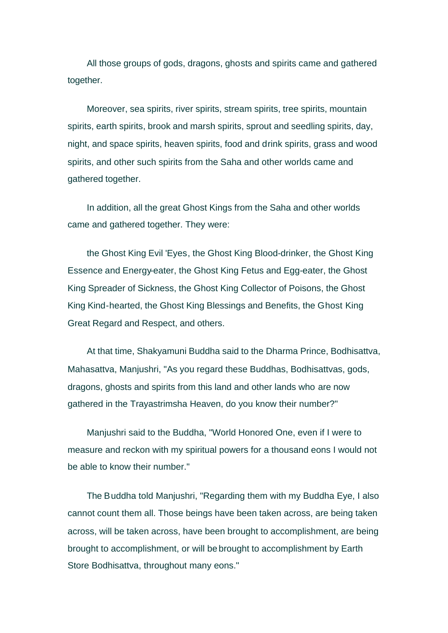All those groups of gods, dragons, ghosts and spirits came and gathered together.

Moreover, sea spirits, river spirits, stream spirits, tree spirits, mountain spirits, earth spirits, brook and marsh spirits, sprout and seedling spirits, day, night, and space spirits, heaven spirits, food and drink spirits, grass and wood spirits, and other such spirits from the Saha and other worlds came and gathered together.

In addition, all the great Ghost Kings from the Saha and other worlds came and gathered together. They were:

the Ghost King Evil 'Eyes, the Ghost King Blood-drinker, the Ghost King Essence and Energy-eater, the Ghost King Fetus and Egg-eater, the Ghost King Spreader of Sickness, the Ghost King Collector of Poisons, the Ghost King Kind-hearted, the Ghost King Blessings and Benefits, the Ghost King Great Regard and Respect, and others.

At that time, Shakyamuni Buddha said to the Dharma Prince, Bodhisattva, Mahasattva, Manjushri, "As you regard these Buddhas, Bodhisattvas, gods, dragons, ghosts and spirits from this land and other lands who are now gathered in the Trayastrimsha Heaven, do you know their number?"

Manjushri said to the Buddha, "World Honored One, even if I were to measure and reckon with my spiritual powers for a thousand eons I would not be able to know their number."

The Buddha told Manjushri, "Regarding them with my Buddha Eye, I also cannot count them all. Those beings have been taken across, are being taken across, will be taken across, have been brought to accomplishment, are being brought to accomplishment, or will be brought to accomplishment by Earth Store Bodhisattva, throughout many eons."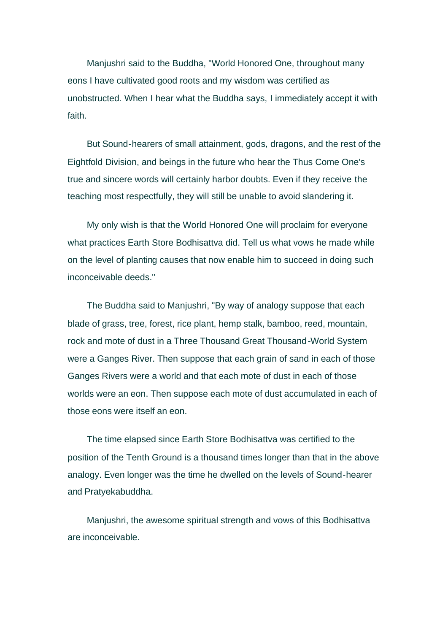Manjushri said to the Buddha, "World Honored One, throughout many eons I have cultivated good roots and my wisdom was certified as unobstructed. When I hear what the Buddha says, I immediately accept it with faith.

But Sound-hearers of small attainment, gods, dragons, and the rest of the Eightfold Division, and beings in the future who hear the Thus Come One's true and sincere words will certainly harbor doubts. Even if they receive the teaching most respectfully, they will still be unable to avoid slandering it.

My only wish is that the World Honored One will proclaim for everyone what practices Earth Store Bodhisattva did. Tell us what vows he made while on the level of planting causes that now enable him to succeed in doing such inconceivable deeds."

The Buddha said to Manjushri, "By way of analogy suppose that each blade of grass, tree, forest, rice plant, hemp stalk, bamboo, reed, mountain, rock and mote of dust in a Three Thousand Great Thousand-World System were a Ganges River. Then suppose that each grain of sand in each of those Ganges Rivers were a world and that each mote of dust in each of those worlds were an eon. Then suppose each mote of dust accumulated in each of those eons were itself an eon.

The time elapsed since Earth Store Bodhisattva was certified to the position of the Tenth Ground is a thousand times longer than that in the above analogy. Even longer was the time he dwelled on the levels of Sound-hearer and Pratyekabuddha.

Manjushri, the awesome spiritual strength and vows of this Bodhisattva are inconceivable.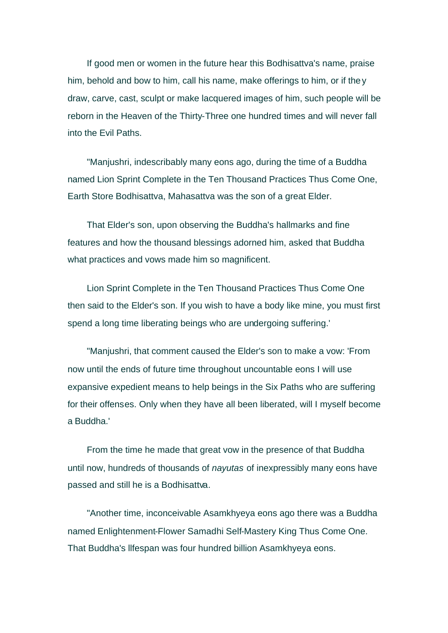If good men or women in the future hear this Bodhisattva's name, praise him, behold and bow to him, call his name, make offerings to him, or if they draw, carve, cast, sculpt or make lacquered images of him, such people will be reborn in the Heaven of the Thirty-Three one hundred times and will never fall into the Evil Paths.

"Manjushri, indescribably many eons ago, during the time of a Buddha named Lion Sprint Complete in the Ten Thousand Practices Thus Come One, Earth Store Bodhisattva, Mahasattva was the son of a great Elder.

That Elder's son, upon observing the Buddha's hallmarks and fine features and how the thousand blessings adorned him, asked that Buddha what practices and vows made him so magnificent.

Lion Sprint Complete in the Ten Thousand Practices Thus Come One then said to the Elder's son. If you wish to have a body like mine, you must first spend a long time liberating beings who are undergoing suffering.'

"Manjushri, that comment caused the Elder's son to make a vow: 'From now until the ends of future time throughout uncountable eons I will use expansive expedient means to help beings in the Six Paths who are suffering for their offenses. Only when they have all been liberated, will I myself become a Buddha.'

From the time he made that great vow in the presence of that Buddha until now, hundreds of thousands of *nayutas* of inexpressibly many eons have passed and still he is a Bodhisattva.

"Another time, inconceivable Asamkhyeya eons ago there was a Buddha named Enlightenment-Flower Samadhi Self-Mastery King Thus Come One. That Buddha's llfespan was four hundred billion Asamkhyeya eons.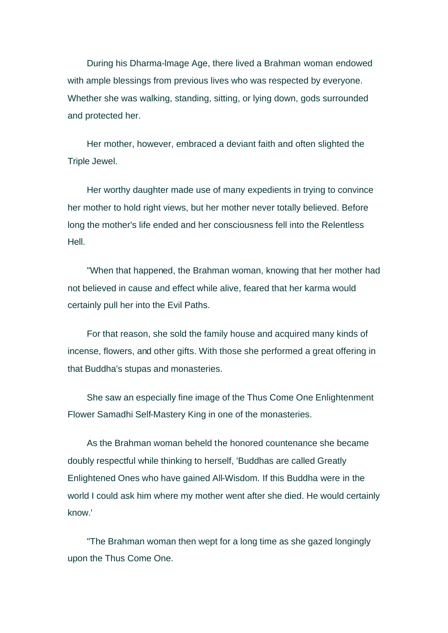During his Dharma-lmage Age, there lived a Brahman woman endowed with ample blessings from previous lives who was respected by everyone. Whether she was walking, standing, sitting, or lying down, gods surrounded and protected her.

Her mother, however, embraced a deviant faith and often slighted the Triple Jewel.

Her worthy daughter made use of many expedients in trying to convince her mother to hold right views, but her mother never totally believed. Before long the mother's life ended and her consciousness fell into the Relentless Hell.

"When that happened, the Brahman woman, knowing that her mother had not believed in cause and effect while alive, feared that her karma would certainly pull her into the Evil Paths.

For that reason, she sold the family house and acquired many kinds of incense, flowers, and other gifts. With those she performed a great offering in that Buddha's stupas and monasteries.

She saw an especially fine image of the Thus Come One Enlightenment Flower Samadhi Self-Mastery King in one of the monasteries.

As the Brahman woman beheld the honored countenance she became doubly respectful while thinking to herself, 'Buddhas are called Greatly Enlightened Ones who have gained All-Wisdom. If this Buddha were in the world I could ask him where my mother went after she died. He would certainly know.'

"The Brahman woman then wept for a long time as she gazed longingly upon the Thus Come One.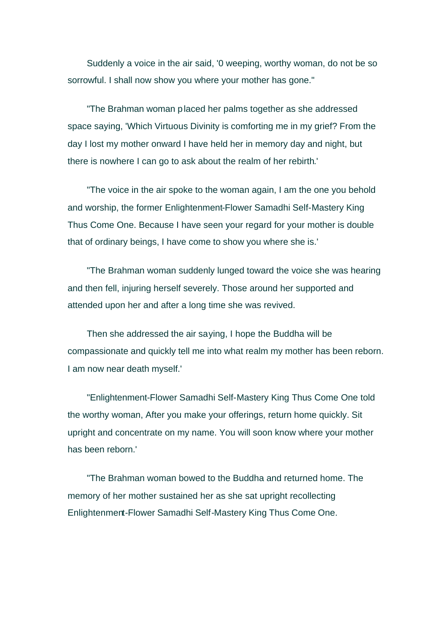Suddenly a voice in the air said, '0 weeping, worthy woman, do not be so sorrowful. I shall now show you where your mother has gone."

"The Brahman woman placed her palms together as she addressed space saying, 'Which Virtuous Divinity is comforting me in my grief? From the day I lost my mother onward I have held her in memory day and night, but there is nowhere I can go to ask about the realm of her rebirth.'

"The voice in the air spoke to the woman again, I am the one you behold and worship, the former Enlightenment-Flower Samadhi Self-Mastery King Thus Come One. Because I have seen your regard for your mother is double that of ordinary beings, I have come to show you where she is.'

"The Brahman woman suddenly lunged toward the voice she was hearing and then fell, injuring herself severely. Those around her supported and attended upon her and after a long time she was revived.

Then she addressed the air saying, I hope the Buddha will be compassionate and quickly tell me into what realm my mother has been reborn. I am now near death myself.'

"Enlightenment-Flower Samadhi Self-Mastery King Thus Come One told the worthy woman, After you make your offerings, return home quickly. Sit upright and concentrate on my name. You will soon know where your mother has been reborn.'

"The Brahman woman bowed to the Buddha and returned home. The memory of her mother sustained her as she sat upright recollecting Enlightenment-Flower Samadhi Self-Mastery King Thus Come One.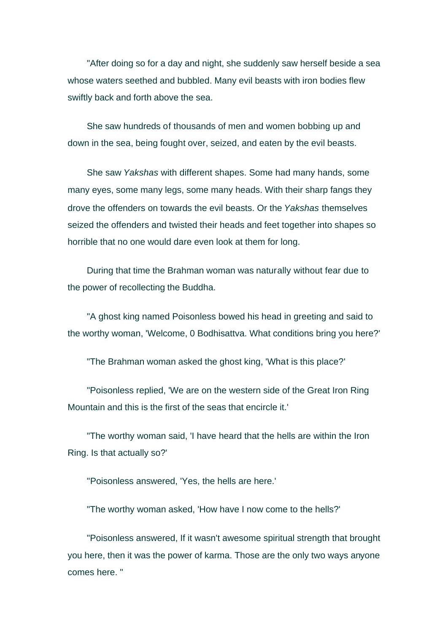"After doing so for a day and night, she suddenly saw herself beside a sea whose waters seethed and bubbled. Many evil beasts with iron bodies flew swiftly back and forth above the sea.

She saw hundreds of thousands of men and women bobbing up and down in the sea, being fought over, seized, and eaten by the evil beasts.

She saw *Yakshas* with different shapes. Some had many hands, some many eyes, some many legs, some many heads. With their sharp fangs they drove the offenders on towards the evil beasts. Or the *Yakshas* themselves seized the offenders and twisted their heads and feet together into shapes so horrible that no one would dare even look at them for long.

During that time the Brahman woman was naturally without fear due to the power of recollecting the Buddha.

"A ghost king named Poisonless bowed his head in greeting and said to the worthy woman, 'Welcome, 0 Bodhisattva. What conditions bring you here?'

"The Brahman woman asked the ghost king, 'What is this place?'

"Poisonless replied, 'We are on the western side of the Great Iron Ring Mountain and this is the first of the seas that encircle it.'

"The worthy woman said, 'I have heard that the hells are within the Iron Ring. Is that actually so?'

"Poisonless answered, 'Yes, the hells are here.'

"The worthy woman asked, 'How have I now come to the hells?'

"Poisonless answered, If it wasn't awesome spiritual strength that brought you here, then it was the power of karma. Those are the only two ways anyone comes here. "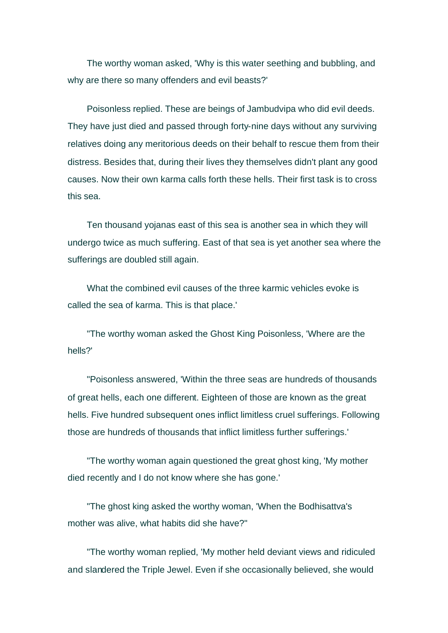The worthy woman asked, 'Why is this water seething and bubbling, and why are there so many offenders and evil beasts?'

Poisonless replied. These are beings of Jambudvipa who did evil deeds. They have just died and passed through forty-nine days without any surviving relatives doing any meritorious deeds on their behalf to rescue them from their distress. Besides that, during their lives they themselves didn't plant any good causes. Now their own karma calls forth these hells. Their first task is to cross this sea.

Ten thousand yojanas east of this sea is another sea in which they will undergo twice as much suffering. East of that sea is yet another sea where the sufferings are doubled still again.

What the combined evil causes of the three karmic vehicles evoke is called the sea of karma. This is that place.'

"The worthy woman asked the Ghost King Poisonless, 'Where are the hells?'

"Poisonless answered, 'Within the three seas are hundreds of thousands of great hells, each one different. Eighteen of those are known as the great hells. Five hundred subsequent ones inflict limitless cruel sufferings. Following those are hundreds of thousands that inflict limitless further sufferings.'

"The worthy woman again questioned the great ghost king, 'My mother died recently and I do not know where she has gone.'

"The ghost king asked the worthy woman, 'When the Bodhisattva's mother was alive, what habits did she have?"

"The worthy woman replied, 'My mother held deviant views and ridiculed and slandered the Triple Jewel. Even if she occasionally believed, she would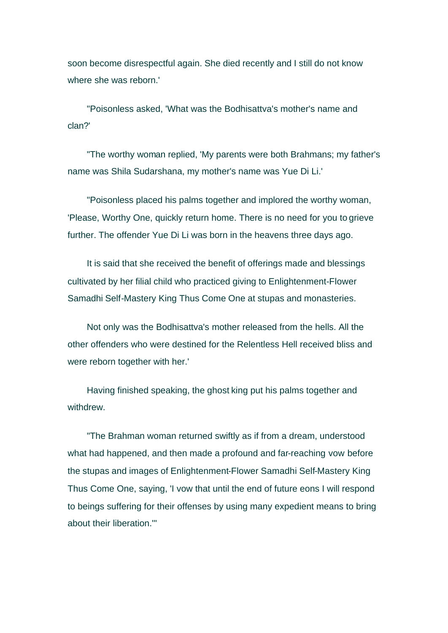soon become disrespectful again. She died recently and I still do not know where she was reborn.'

"Poisonless asked, 'What was the Bodhisattva's mother's name and clan?'

"The worthy woman replied, 'My parents were both Brahmans; my father's name was Shila Sudarshana, my mother's name was Yue Di Li.'

"Poisonless placed his palms together and implored the worthy woman, 'Please, Worthy One, quickly return home. There is no need for you to grieve further. The offender Yue Di Li was born in the heavens three days ago.

It is said that she received the benefit of offerings made and blessings cultivated by her filial child who practiced giving to Enlightenment-Flower Samadhi Self-Mastery King Thus Come One at stupas and monasteries.

Not only was the Bodhisattva's mother released from the hells. All the other offenders who were destined for the Relentless Hell received bliss and were reborn together with her.'

Having finished speaking, the ghost king put his palms together and withdrew.

"The Brahman woman returned swiftly as if from a dream, understood what had happened, and then made a profound and far-reaching vow before the stupas and images of Enlightenment-Flower Samadhi Self-Mastery King Thus Come One, saying, 'I vow that until the end of future eons I will respond to beings suffering for their offenses by using many expedient means to bring about their liberation.'"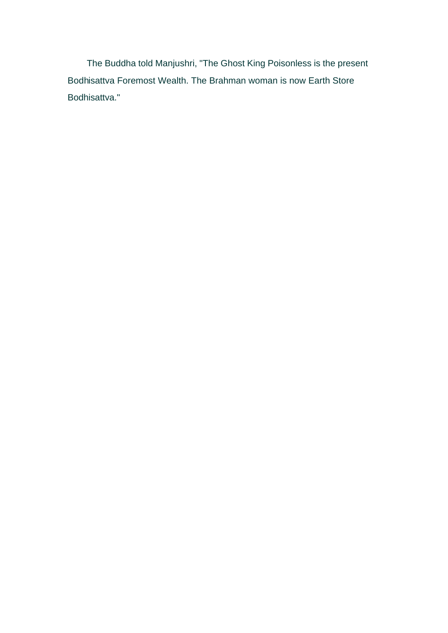The Buddha told Manjushri, "The Ghost King Poisonless is the present Bodhisattva Foremost Wealth. The Brahman woman is now Earth Store Bodhisattva."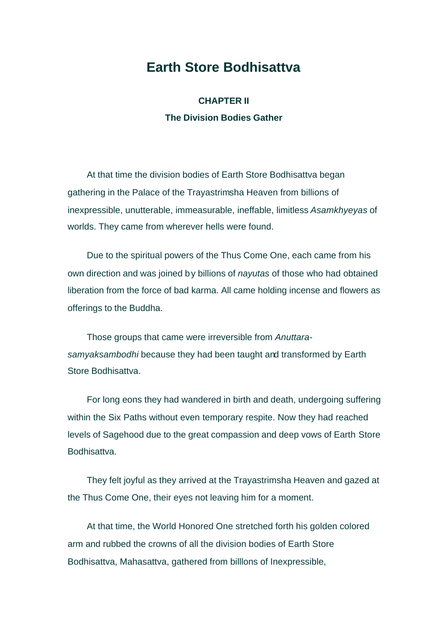### **Earth Store Bodhisattva**

**CHAPTER II The Division Bodies Gather** 

At that time the division bodies of Earth Store Bodhisattva began gathering in the Palace of the Trayastrimsha Heaven from billions of inexpressible, unutterable, immeasurable, ineffable, limitless *Asamkhyeyas* of worlds. They came from wherever hells were found.

Due to the spiritual powers of the Thus Come One, each came from his own direction and was joined by billions of *nayutas* of those who had obtained liberation from the force of bad karma. All came holding incense and flowers as offerings to the Buddha.

Those groups that came were irreversible from *Anuttarasamyaksambodhi* because they had been taught and transformed by Earth Store Bodhisattva.

For long eons they had wandered in birth and death, undergoing suffering within the Six Paths without even temporary respite. Now they had reached levels of Sagehood due to the great compassion and deep vows of Earth Store Bodhisattva.

They felt joyful as they arrived at the Trayastrimsha Heaven and gazed at the Thus Come One, their eyes not leaving him for a moment.

At that time, the World Honored One stretched forth his golden colored arm and rubbed the crowns of all the division bodies of Earth Store Bodhisattva, Mahasattva, gathered from billlons of Inexpressible,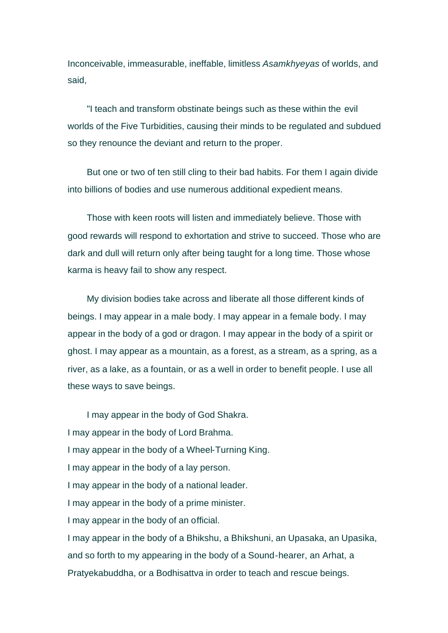Inconceivable, immeasurable, ineffable, limitless *Asamkhyeyas* of worlds, and said,

"I teach and transform obstinate beings such as these within the evil worlds of the Five Turbidities, causing their minds to be regulated and subdued so they renounce the deviant and return to the proper.

But one or two of ten still cling to their bad habits. For them I again divide into billions of bodies and use numerous additional expedient means.

Those with keen roots will listen and immediately believe. Those with good rewards will respond to exhortation and strive to succeed. Those who are dark and dull will return only after being taught for a long time. Those whose karma is heavy fail to show any respect.

My division bodies take across and liberate all those different kinds of beings. I may appear in a male body. I may appear in a female body. I may appear in the body of a god or dragon. I may appear in the body of a spirit or ghost. I may appear as a mountain, as a forest, as a stream, as a spring, as a river, as a lake, as a fountain, or as a well in order to benefit people. I use all these ways to save beings.

I may appear in the body of God Shakra. I may appear in the body of Lord Brahma. I may appear in the body of a Wheel-Turning King. I may appear in the body of a lay person. I may appear in the body of a national leader. I may appear in the body of a prime minister. I may appear in the body of an official. I may appear in the body of a Bhikshu, a Bhikshuni, an Upasaka, an Upasika, and so forth to my appearing in the body of a Sound-hearer, an Arhat, a Pratyekabuddha, or a Bodhisattva in order to teach and rescue beings.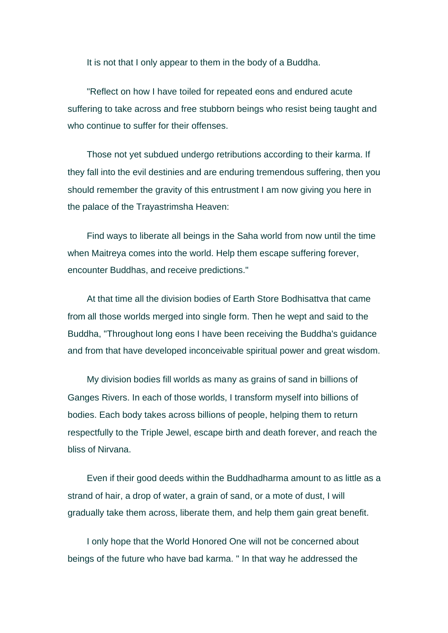It is not that I only appear to them in the body of a Buddha.

"Reflect on how I have toiled for repeated eons and endured acute suffering to take across and free stubborn beings who resist being taught and who continue to suffer for their offenses.

Those not yet subdued undergo retributions according to their karma. If they fall into the evil destinies and are enduring tremendous suffering, then you should remember the gravity of this entrustment I am now giving you here in the palace of the Trayastrimsha Heaven:

Find ways to liberate all beings in the Saha world from now until the time when Maitreya comes into the world. Help them escape suffering forever, encounter Buddhas, and receive predictions."

At that time all the division bodies of Earth Store Bodhisattva that came from all those worlds merged into single form. Then he wept and said to the Buddha, "Throughout long eons I have been receiving the Buddha's guidance and from that have developed inconceivable spiritual power and great wisdom.

My division bodies fill worlds as many as grains of sand in billions of Ganges Rivers. In each of those worlds, I transform myself into billions of bodies. Each body takes across billions of people, helping them to return respectfully to the Triple Jewel, escape birth and death forever, and reach the bliss of Nirvana.

Even if their good deeds within the Buddhadharma amount to as little as a strand of hair, a drop of water, a grain of sand, or a mote of dust, I will gradually take them across, liberate them, and help them gain great benefit.

I only hope that the World Honored One will not be concerned about beings of the future who have bad karma. " In that way he addressed the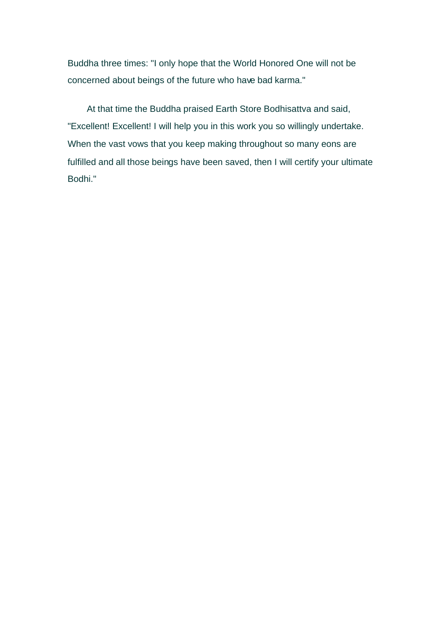Buddha three times: "I only hope that the World Honored One will not be concerned about beings of the future who have bad karma."

At that time the Buddha praised Earth Store Bodhisattva and said, "Excellent! Excellent! I will help you in this work you so willingly undertake. When the vast vows that you keep making throughout so many eons are fulfilled and all those beings have been saved, then I will certify your ultimate Bodhi."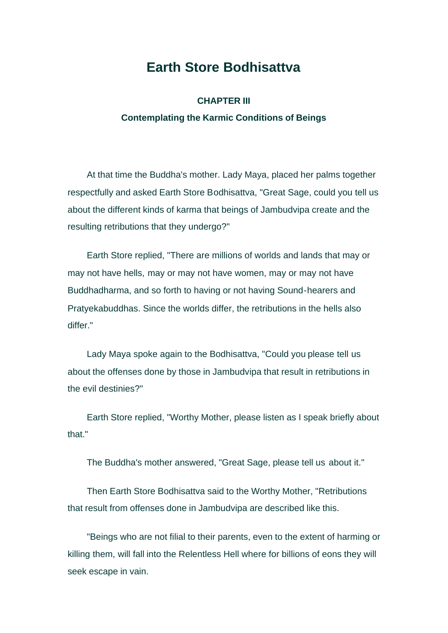## **Earth Store Bodhisattva**

### **CHAPTER III Contemplating the Karmic Conditions of Beings**

At that time the Buddha's mother. Lady Maya, placed her palms together respectfully and asked Earth Store Bodhisattva, "Great Sage, could you tell us about the different kinds of karma that beings of Jambudvipa create and the resulting retributions that they undergo?"

Earth Store replied, "There are millions of worlds and lands that may or may not have hells, may or may not have women, may or may not have Buddhadharma, and so forth to having or not having Sound-hearers and Pratyekabuddhas. Since the worlds differ, the retributions in the hells also differ."

Lady Maya spoke again to the Bodhisattva, "Could you please tell us about the offenses done by those in Jambudvipa that result in retributions in the evil destinies?"

Earth Store replied, "Worthy Mother, please listen as I speak briefly about that."

The Buddha's mother answered, "Great Sage, please tell us about it."

Then Earth Store Bodhisattva said to the Worthy Mother, "Retributions that result from offenses done in Jambudvipa are described like this.

"Beings who are not filial to their parents, even to the extent of harming or killing them, will fall into the Relentless Hell where for billions of eons they will seek escape in vain.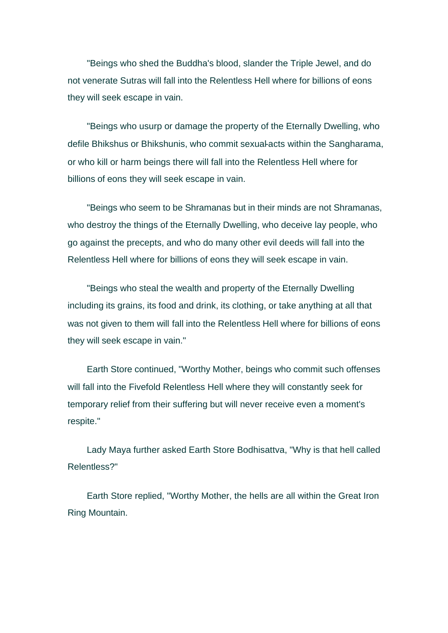"Beings who shed the Buddha's blood, slander the Triple Jewel, and do not venerate Sutras will fall into the Relentless Hell where for billions of eons they will seek escape in vain.

"Beings who usurp or damage the property of the Eternally Dwelling, who defile Bhikshus or Bhikshunis, who commit sexual-acts within the Sangharama, or who kill or harm beings there will fall into the Relentless Hell where for billions of eons they will seek escape in vain.

"Beings who seem to be Shramanas but in their minds are not Shramanas, who destroy the things of the Eternally Dwelling, who deceive lay people, who go against the precepts, and who do many other evil deeds will fall into the Relentless Hell where for billions of eons they will seek escape in vain.

"Beings who steal the wealth and property of the Eternally Dwelling including its grains, its food and drink, its clothing, or take anything at all that was not given to them will fall into the Relentless Hell where for billions of eons they will seek escape in vain."

Earth Store continued, "Worthy Mother, beings who commit such offenses will fall into the Fivefold Relentless Hell where they will constantly seek for temporary relief from their suffering but will never receive even a moment's respite."

Lady Maya further asked Earth Store Bodhisattva, "Why is that hell called Relentless?"

Earth Store replied, "Worthy Mother, the hells are all within the Great Iron Ring Mountain.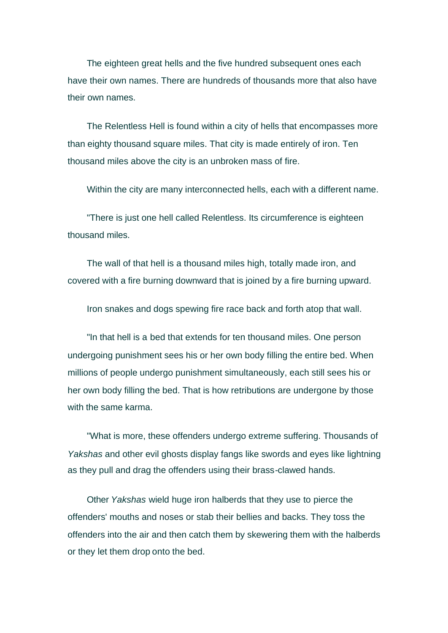The eighteen great hells and the five hundred subsequent ones each have their own names. There are hundreds of thousands more that also have their own names.

The Relentless Hell is found within a city of hells that encompasses more than eighty thousand square miles. That city is made entirely of iron. Ten thousand miles above the city is an unbroken mass of fire.

Within the city are many interconnected hells, each with a different name.

"There is just one hell called Relentless. Its circumference is eighteen thousand miles.

The wall of that hell is a thousand miles high, totally made iron, and covered with a fire burning downward that is joined by a fire burning upward.

Iron snakes and dogs spewing fire race back and forth atop that wall.

"In that hell is a bed that extends for ten thousand miles. One person undergoing punishment sees his or her own body filling the entire bed. When millions of people undergo punishment simultaneously, each still sees his or her own body filling the bed. That is how retributions are undergone by those with the same karma.

"What is more, these offenders undergo extreme suffering. Thousands of *Yakshas* and other evil ghosts display fangs like swords and eyes like lightning as they pull and drag the offenders using their brass-clawed hands.

Other *Yakshas* wield huge iron halberds that they use to pierce the offenders' mouths and noses or stab their bellies and backs. They toss the offenders into the air and then catch them by skewering them with the halberds or they let them drop onto the bed.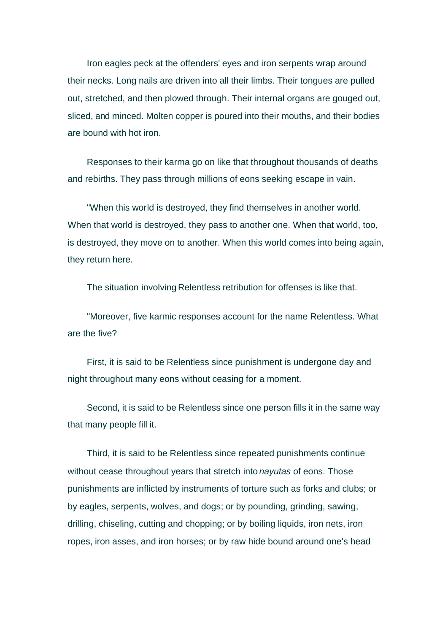Iron eagles peck at the offenders' eyes and iron serpents wrap around their necks. Long nails are driven into all their limbs. Their tongues are pulled out, stretched, and then plowed through. Their internal organs are gouged out, sliced, and minced. Molten copper is poured into their mouths, and their bodies are bound with hot iron.

Responses to their karma go on like that throughout thousands of deaths and rebirths. They pass through millions of eons seeking escape in vain.

"When this world is destroyed, they find themselves in another world. When that world is destroyed, they pass to another one. When that world, too, is destroyed, they move on to another. When this world comes into being again, they return here.

The situation involving Relentless retribution for offenses is like that.

"Moreover, five karmic responses account for the name Relentless. What are the five?

First, it is said to be Relentless since punishment is undergone day and night throughout many eons without ceasing for a moment.

Second, it is said to be Relentless since one person fills it in the same way that many people fill it.

Third, it is said to be Relentless since repeated punishments continue without cease throughout years that stretch into *nayutas* of eons. Those punishments are inflicted by instruments of torture such as forks and clubs; or by eagles, serpents, wolves, and dogs; or by pounding, grinding, sawing, drilling, chiseling, cutting and chopping; or by boiling liquids, iron nets, iron ropes, iron asses, and iron horses; or by raw hide bound around one's head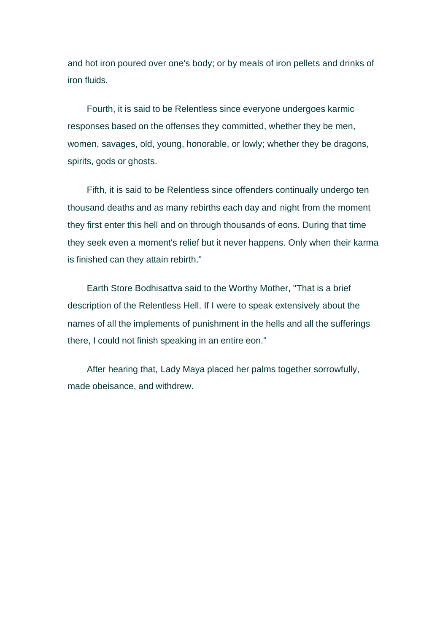and hot iron poured over one's body; or by meals of iron pellets and drinks of iron fluids.

Fourth, it is said to be Relentless since everyone undergoes karmic responses based on the offenses they committed, whether they be men, women, savages, old, young, honorable, or lowly; whether they be dragons, spirits, gods or ghosts.

Fifth, it is said to be Relentless since offenders continually undergo ten thousand deaths and as many rebirths each day and night from the moment they first enter this hell and on through thousands of eons. During that time they seek even a moment's relief but it never happens. Only when their karma is finished can they attain rebirth."

Earth Store Bodhisattva said to the Worthy Mother, "That is a brief description of the Relentless Hell. If I were to speak extensively about the names of all the implements of punishment in the hells and all the sufferings there, I could not finish speaking in an entire eon."

After hearing that, Lady Maya placed her palms together sorrowfully, made obeisance, and withdrew.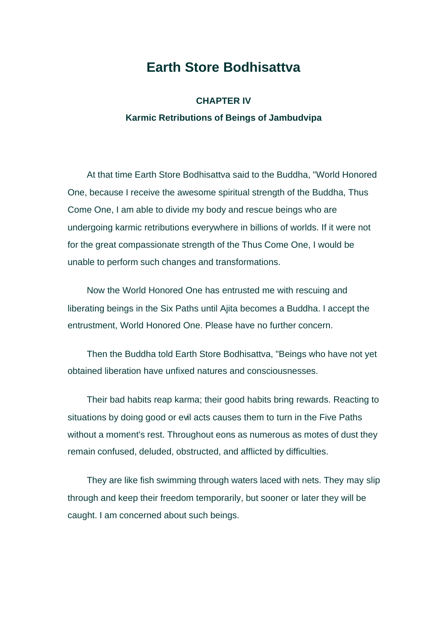## **Earth Store Bodhisattva**

### **CHAPTER IV Karmic Retributions of Beings of Jambudvipa**

At that time Earth Store Bodhisattva said to the Buddha, "World Honored One, because I receive the awesome spiritual strength of the Buddha, Thus Come One, I am able to divide my body and rescue beings who are undergoing karmic retributions everywhere in billions of worlds. If it were not for the great compassionate strength of the Thus Come One, I would be unable to perform such changes and transformations.

Now the World Honored One has entrusted me with rescuing and liberating beings in the Six Paths until Ajita becomes a Buddha. I accept the entrustment, World Honored One. Please have no further concern.

Then the Buddha told Earth Store Bodhisattva, "Beings who have not yet obtained liberation have unfixed natures and consciousnesses.

Their bad habits reap karma; their good habits bring rewards. Reacting to situations by doing good or evil acts causes them to turn in the Five Paths without a moment's rest. Throughout eons as numerous as motes of dust they remain confused, deluded, obstructed, and afflicted by difficulties.

They are like fish swimming through waters laced with nets. They may slip through and keep their freedom temporarily, but sooner or later they will be caught. I am concerned about such beings.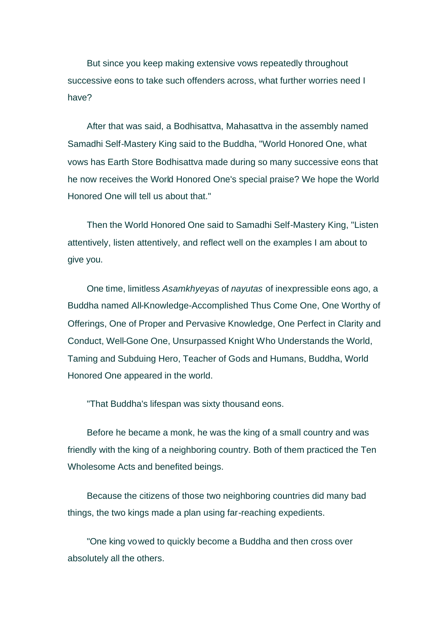But since you keep making extensive vows repeatedly throughout successive eons to take such offenders across, what further worries need I have?

After that was said, a Bodhisattva, Mahasattva in the assembly named Samadhi Self-Mastery King said to the Buddha, "World Honored One, what vows has Earth Store Bodhisattva made during so many successive eons that he now receives the World Honored One's special praise? We hope the World Honored One will tell us about that."

Then the World Honored One said to Samadhi Self-Mastery King, "Listen attentively, listen attentively, and reflect well on the examples I am about to give you.

One time, limitless *Asamkhyeyas* of *nayutas* of inexpressible eons ago, a Buddha named All-Knowledge-Accomplished Thus Come One, One Worthy of Offerings, One of Proper and Pervasive Knowledge, One Perfect in Clarity and Conduct, Well-Gone One, Unsurpassed Knight Who Understands the World, Taming and Subduing Hero, Teacher of Gods and Humans, Buddha, World Honored One appeared in the world.

"That Buddha's lifespan was sixty thousand eons.

Before he became a monk, he was the king of a small country and was friendly with the king of a neighboring country. Both of them practiced the Ten Wholesome Acts and benefited beings.

Because the citizens of those two neighboring countries did many bad things, the two kings made a plan using far-reaching expedients.

"One king vowed to quickly become a Buddha and then cross over absolutely all the others.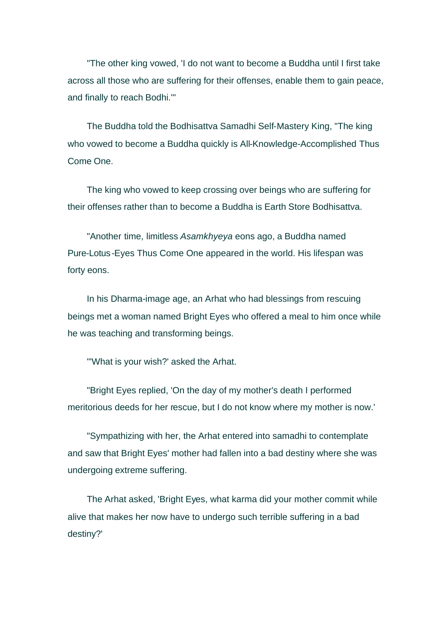"The other king vowed, 'I do not want to become a Buddha until I first take across all those who are suffering for their offenses, enable them to gain peace, and finally to reach Bodhi.'"

The Buddha told the Bodhisattva Samadhi Self-Mastery King, "The king who vowed to become a Buddha quickly is All-Knowledge-Accomplished Thus Come One.

The king who vowed to keep crossing over beings who are suffering for their offenses rather than to become a Buddha is Earth Store Bodhisattva.

"Another time, limitless *Asamkhyeya* eons ago, a Buddha named Pure-Lotus-Eyes Thus Come One appeared in the world. His lifespan was forty eons.

In his Dharma-image age, an Arhat who had blessings from rescuing beings met a woman named Bright Eyes who offered a meal to him once while he was teaching and transforming beings.

"'What is your wish?' asked the Arhat.

"Bright Eyes replied, 'On the day of my mother's death I performed meritorious deeds for her rescue, but I do not know where my mother is now.'

"Sympathizing with her, the Arhat entered into samadhi to contemplate and saw that Bright Eyes' mother had fallen into a bad destiny where she was undergoing extreme suffering.

The Arhat asked, 'Bright Eyes, what karma did your mother commit while alive that makes her now have to undergo such terrible suffering in a bad destiny?'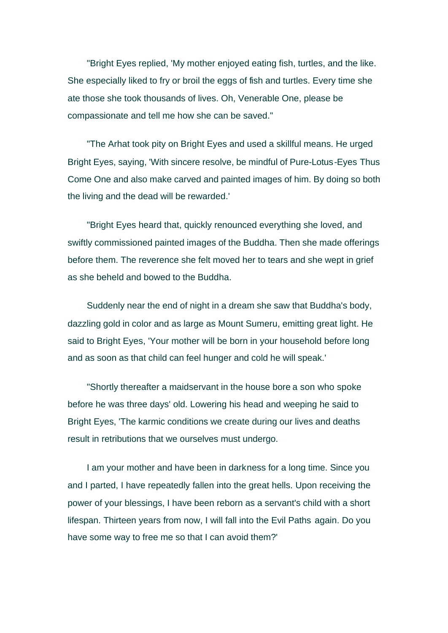"Bright Eyes replied, 'My mother enjoyed eating fish, turtles, and the like. She especially liked to fry or broil the eggs of fish and turtles. Every time she ate those she took thousands of lives. Oh, Venerable One, please be compassionate and tell me how she can be saved."

"The Arhat took pity on Bright Eyes and used a skillful means. He urged Bright Eyes, saying, 'With sincere resolve, be mindful of Pure-Lotus-Eyes Thus Come One and also make carved and painted images of him. By doing so both the living and the dead will be rewarded.'

"Bright Eyes heard that, quickly renounced everything she loved, and swiftly commissioned painted images of the Buddha. Then she made offerings before them. The reverence she felt moved her to tears and she wept in grief as she beheld and bowed to the Buddha.

Suddenly near the end of night in a dream she saw that Buddha's body, dazzling gold in color and as large as Mount Sumeru, emitting great light. He said to Bright Eyes, 'Your mother will be born in your household before long and as soon as that child can feel hunger and cold he will speak.'

"Shortly thereafter a maidservant in the house bore a son who spoke before he was three days' old. Lowering his head and weeping he said to Bright Eyes, 'The karmic conditions we create during our lives and deaths result in retributions that we ourselves must undergo.

I am your mother and have been in darkness for a long time. Since you and I parted, I have repeatedly fallen into the great hells. Upon receiving the power of your blessings, I have been reborn as a servant's child with a short lifespan. Thirteen years from now, I will fall into the Evil Paths again. Do you have some way to free me so that I can avoid them?'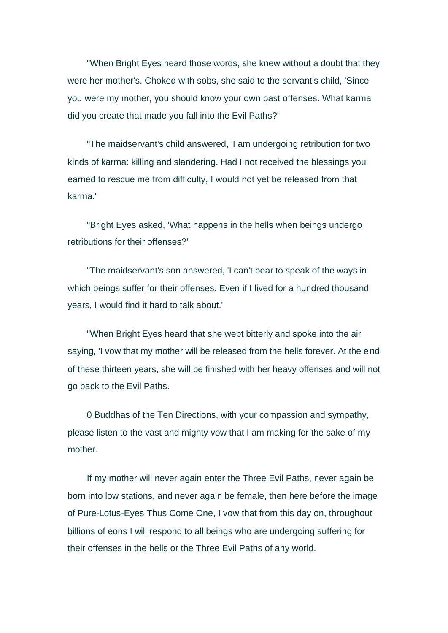"When Bright Eyes heard those words, she knew without a doubt that they were her mother's. Choked with sobs, she said to the servant's child, 'Since you were my mother, you should know your own past offenses. What karma did you create that made you fall into the Evil Paths?'

"The maidservant's child answered, 'I am undergoing retribution for two kinds of karma: killing and slandering. Had I not received the blessings you earned to rescue me from difficulty, I would not yet be released from that karma.'

"Bright Eyes asked, 'What happens in the hells when beings undergo retributions for their offenses?'

"The maidservant's son answered, 'I can't bear to speak of the ways in which beings suffer for their offenses. Even if I lived for a hundred thousand years, I would find it hard to talk about.'

"When Bright Eyes heard that she wept bitterly and spoke into the air saying, 'I vow that my mother will be released from the hells forever. At the end of these thirteen years, she will be finished with her heavy offenses and will not go back to the Evil Paths.

0 Buddhas of the Ten Directions, with your compassion and sympathy, please listen to the vast and mighty vow that I am making for the sake of my mother.

If my mother will never again enter the Three Evil Paths, never again be born into low stations, and never again be female, then here before the image of Pure-Lotus-Eyes Thus Come One, I vow that from this day on, throughout billions of eons I will respond to all beings who are undergoing suffering for their offenses in the hells or the Three Evil Paths of any world.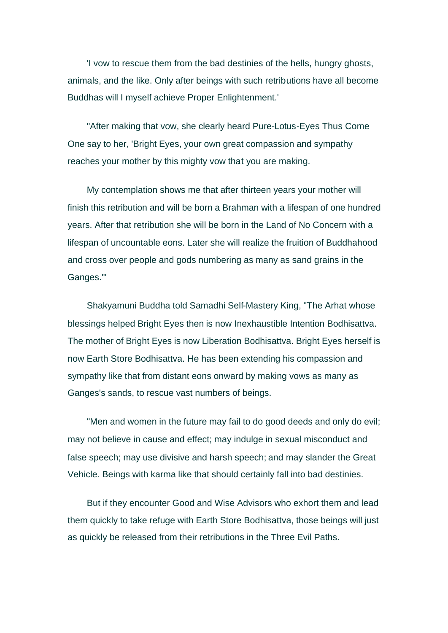'I vow to rescue them from the bad destinies of the hells, hungry ghosts, animals, and the like. Only after beings with such retributions have all become Buddhas will I myself achieve Proper Enlightenment.'

"After making that vow, she clearly heard Pure-Lotus-Eyes Thus Come One say to her, 'Bright Eyes, your own great compassion and sympathy reaches your mother by this mighty vow that you are making.

My contemplation shows me that after thirteen years your mother will finish this retribution and will be born a Brahman with a lifespan of one hundred years. After that retribution she will be born in the Land of No Concern with a lifespan of uncountable eons. Later she will realize the fruition of Buddhahood and cross over people and gods numbering as many as sand grains in the Ganges.'"

Shakyamuni Buddha told Samadhi Self-Mastery King, "The Arhat whose blessings helped Bright Eyes then is now Inexhaustible Intention Bodhisattva. The mother of Bright Eyes is now Liberation Bodhisattva. Bright Eyes herself is now Earth Store Bodhisattva. He has been extending his compassion and sympathy like that from distant eons onward by making vows as many as Ganges's sands, to rescue vast numbers of beings.

"Men and women in the future may fail to do good deeds and only do evil; may not believe in cause and effect; may indulge in sexual misconduct and false speech; may use divisive and harsh speech; and may slander the Great Vehicle. Beings with karma like that should certainly fall into bad destinies.

But if they encounter Good and Wise Advisors who exhort them and lead them quickly to take refuge with Earth Store Bodhisattva, those beings will just as quickly be released from their retributions in the Three Evil Paths.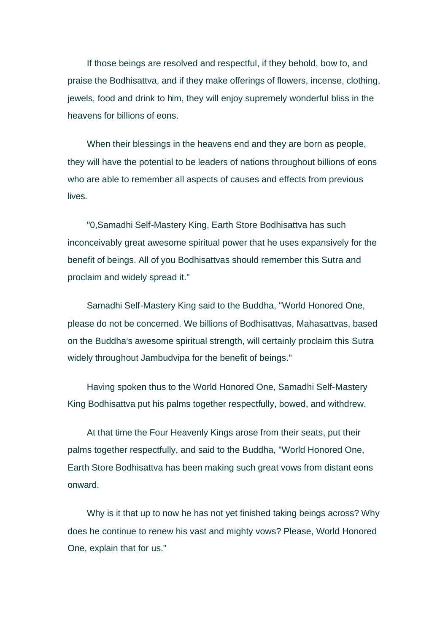If those beings are resolved and respectful, if they behold, bow to, and praise the Bodhisattva, and if they make offerings of flowers, incense, clothing, jewels, food and drink to him, they will enjoy supremely wonderful bliss in the heavens for billions of eons.

When their blessings in the heavens end and they are born as people, they will have the potential to be leaders of nations throughout billions of eons who are able to remember all aspects of causes and effects from previous lives.

"0,Samadhi Self-Mastery King, Earth Store Bodhisattva has such inconceivably great awesome spiritual power that he uses expansively for the benefit of beings. All of you Bodhisattvas should remember this Sutra and proclaim and widely spread it."

Samadhi Self-Mastery King said to the Buddha, "World Honored One, please do not be concerned. We billions of Bodhisattvas, Mahasattvas, based on the Buddha's awesome spiritual strength, will certainly proclaim this Sutra widely throughout Jambudvipa for the benefit of beings."

Having spoken thus to the World Honored One, Samadhi Self-Mastery King Bodhisattva put his palms together respectfully, bowed, and withdrew.

At that time the Four Heavenly Kings arose from their seats, put their palms together respectfully, and said to the Buddha, "World Honored One, Earth Store Bodhisattva has been making such great vows from distant eons onward.

Why is it that up to now he has not yet finished taking beings across? Why does he continue to renew his vast and mighty vows? Please, World Honored One, explain that for us."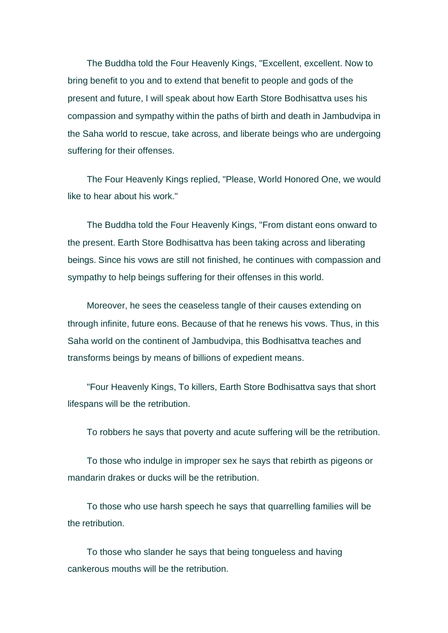The Buddha told the Four Heavenly Kings, "Excellent, excellent. Now to bring benefit to you and to extend that benefit to people and gods of the present and future, I will speak about how Earth Store Bodhisattva uses his compassion and sympathy within the paths of birth and death in Jambudvipa in the Saha world to rescue, take across, and liberate beings who are undergoing suffering for their offenses.

The Four Heavenly Kings replied, "Please, World Honored One, we would like to hear about his work."

The Buddha told the Four Heavenly Kings, "From distant eons onward to the present. Earth Store Bodhisattva has been taking across and liberating beings. Since his vows are still not finished, he continues with compassion and sympathy to help beings suffering for their offenses in this world.

Moreover, he sees the ceaseless tangle of their causes extending on through infinite, future eons. Because of that he renews his vows. Thus, in this Saha world on the continent of Jambudvipa, this Bodhisattva teaches and transforms beings by means of billions of expedient means.

"Four Heavenly Kings, To killers, Earth Store Bodhisattva says that short lifespans will be the retribution.

To robbers he says that poverty and acute suffering will be the retribution.

To those who indulge in improper sex he says that rebirth as pigeons or mandarin drakes or ducks will be the retribution.

To those who use harsh speech he says that quarrelling families will be the retribution.

To those who slander he says that being tongueless and having cankerous mouths will be the retribution.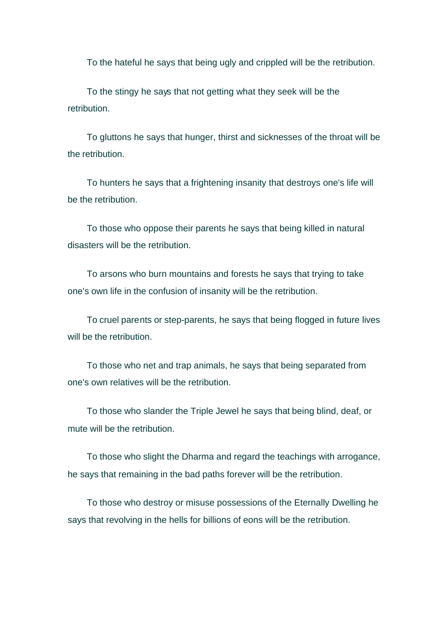To the hateful he says that being ugly and crippled will be the retribution.

To the stingy he says that not getting what they seek will be the retribution.

To gluttons he says that hunger, thirst and sicknesses of the throat will be the retribution.

To hunters he says that a frightening insanity that destroys one's life will be the retribution.

To those who oppose their parents he says that being killed in natural disasters will be the retribution.

To arsons who burn mountains and forests he says that trying to take one's own life in the confusion of insanity will be the retribution.

To cruel parents or step-parents, he says that being flogged in future lives will be the retribution.

To those who net and trap animals, he says that being separated from one's own relatives will be the retribution.

To those who slander the Triple Jewel he says that being blind, deaf, or mute will be the retribution.

To those who slight the Dharma and regard the teachings with arrogance, he says that remaining in the bad paths forever will be the retribution.

To those who destroy or misuse possessions of the Eternally Dwelling he says that revolving in the hells for billions of eons will be the retribution.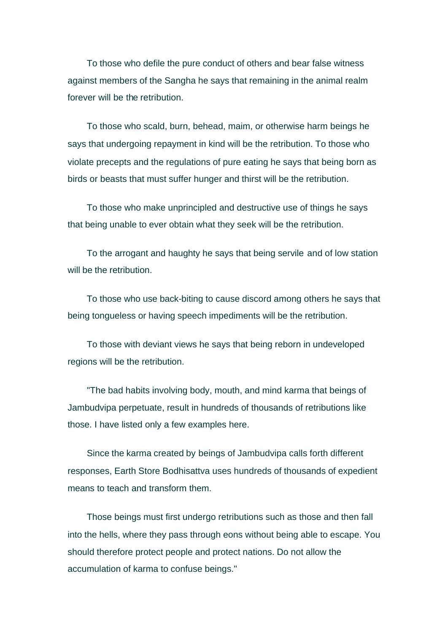To those who defile the pure conduct of others and bear false witness against members of the Sangha he says that remaining in the animal realm forever will be the retribution.

To those who scald, burn, behead, maim, or otherwise harm beings he says that undergoing repayment in kind will be the retribution. To those who violate precepts and the regulations of pure eating he says that being born as birds or beasts that must suffer hunger and thirst will be the retribution.

To those who make unprincipled and destructive use of things he says that being unable to ever obtain what they seek will be the retribution.

To the arrogant and haughty he says that being servile and of low station will be the retribution.

To those who use back-biting to cause discord among others he says that being tongueless or having speech impediments will be the retribution.

To those with deviant views he says that being reborn in undeveloped regions will be the retribution.

"The bad habits involving body, mouth, and mind karma that beings of Jambudvipa perpetuate, result in hundreds of thousands of retributions like those. I have listed only a few examples here.

Since the karma created by beings of Jambudvipa calls forth different responses, Earth Store Bodhisattva uses hundreds of thousands of expedient means to teach and transform them.

Those beings must first undergo retributions such as those and then fall into the hells, where they pass through eons without being able to escape. You should therefore protect people and protect nations. Do not allow the accumulation of karma to confuse beings."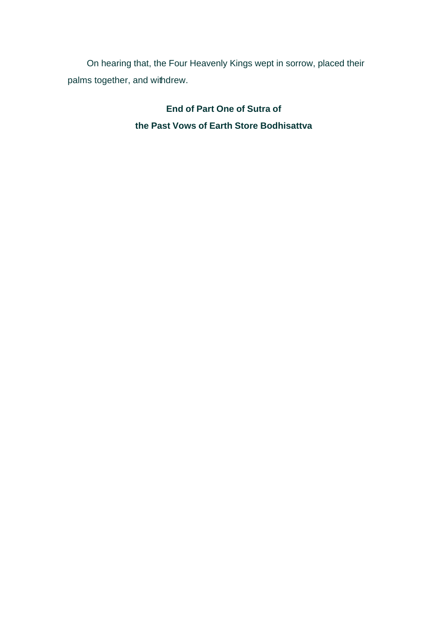On hearing that, the Four Heavenly Kings wept in sorrow, placed their palms together, and withdrew.

> **End of Part One of Sutra of the Past Vows of Earth Store Bodhisattva**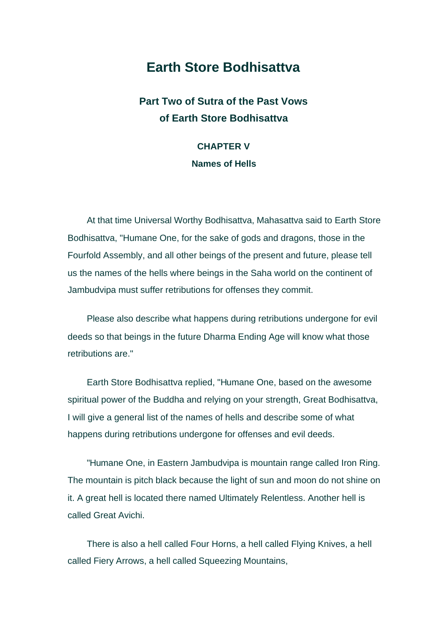## **Earth Store Bodhisattva**

### **Part Two of Sutra of the Past Vows of Earth Store Bodhisattva**

## **CHAPTER V Names of Hells**

At that time Universal Worthy Bodhisattva, Mahasattva said to Earth Store Bodhisattva, "Humane One, for the sake of gods and dragons, those in the Fourfold Assembly, and all other beings of the present and future, please tell us the names of the hells where beings in the Saha world on the continent of Jambudvipa must suffer retributions for offenses they commit.

Please also describe what happens during retributions undergone for evil deeds so that beings in the future Dharma Ending Age will know what those retributions are."

Earth Store Bodhisattva replied, "Humane One, based on the awesome spiritual power of the Buddha and relying on your strength, Great Bodhisattva, I will give a general list of the names of hells and describe some of what happens during retributions undergone for offenses and evil deeds.

"Humane One, in Eastern Jambudvipa is mountain range called Iron Ring. The mountain is pitch black because the light of sun and moon do not shine on it. A great hell is located there named Ultimately Relentless. Another hell is called Great Avichi.

There is also a hell called Four Horns, a hell called Flying Knives, a hell called Fiery Arrows, a hell called Squeezing Mountains,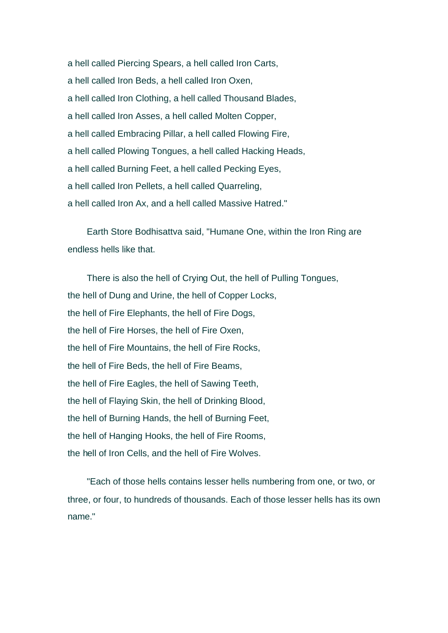a hell called Piercing Spears, a hell called Iron Carts, a hell called Iron Beds, a hell called Iron Oxen, a hell called Iron Clothing, a hell called Thousand Blades, a hell called Iron Asses, a hell called Molten Copper, a hell called Embracing Pillar, a hell called Flowing Fire, a hell called Plowing Tongues, a hell called Hacking Heads, a hell called Burning Feet, a hell called Pecking Eyes, a hell called Iron Pellets, a hell called Quarreling, a hell called Iron Ax, and a hell called Massive Hatred."

Earth Store Bodhisattva said, "Humane One, within the Iron Ring are endless hells like that.

There is also the hell of Crying Out, the hell of Pulling Tongues, the hell of Dung and Urine, the hell of Copper Locks, the hell of Fire Elephants, the hell of Fire Dogs, the hell of Fire Horses, the hell of Fire Oxen, the hell of Fire Mountains, the hell of Fire Rocks, the hell of Fire Beds, the hell of Fire Beams, the hell of Fire Eagles, the hell of Sawing Teeth, the hell of Flaying Skin, the hell of Drinking Blood, the hell of Burning Hands, the hell of Burning Feet, the hell of Hanging Hooks, the hell of Fire Rooms, the hell of Iron Cells, and the hell of Fire Wolves.

"Each of those hells contains lesser hells numbering from one, or two, or three, or four, to hundreds of thousands. Each of those lesser hells has its own name."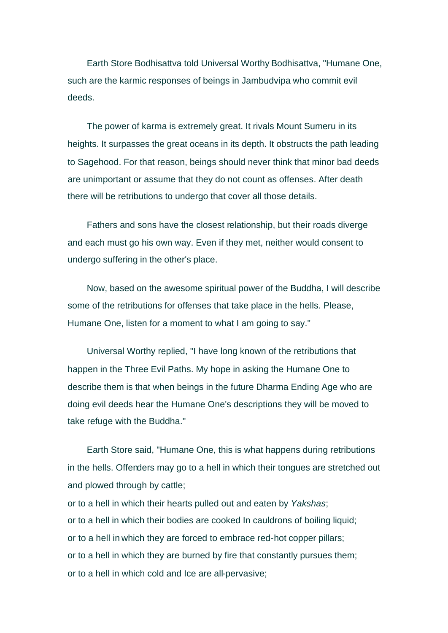Earth Store Bodhisattva told Universal Worthy Bodhisattva, "Humane One, such are the karmic responses of beings in Jambudvipa who commit evil deeds.

The power of karma is extremely great. It rivals Mount Sumeru in its heights. It surpasses the great oceans in its depth. It obstructs the path leading to Sagehood. For that reason, beings should never think that minor bad deeds are unimportant or assume that they do not count as offenses. After death there will be retributions to undergo that cover all those details.

Fathers and sons have the closest relationship, but their roads diverge and each must go his own way. Even if they met, neither would consent to undergo suffering in the other's place.

Now, based on the awesome spiritual power of the Buddha, I will describe some of the retributions for offenses that take place in the hells. Please, Humane One, listen for a moment to what I am going to say."

Universal Worthy replied, "I have long known of the retributions that happen in the Three Evil Paths. My hope in asking the Humane One to describe them is that when beings in the future Dharma Ending Age who are doing evil deeds hear the Humane One's descriptions they will be moved to take refuge with the Buddha."

Earth Store said, "Humane One, this is what happens during retributions in the hells. Offenders may go to a hell in which their tongues are stretched out and plowed through by cattle;

or to a hell in which their hearts pulled out and eaten by *Yakshas*; or to a hell in which their bodies are cooked In cauldrons of boiling liquid; or to a hell in which they are forced to embrace red-hot copper pillars; or to a hell in which they are burned by fire that constantly pursues them; or to a hell in which cold and Ice are all-pervasive;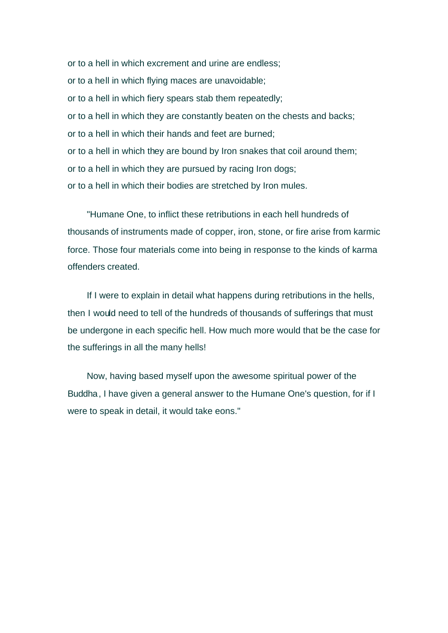or to a hell in which excrement and urine are endless; or to a hell in which flying maces are unavoidable; or to a hell in which fiery spears stab them repeatedly; or to a hell in which they are constantly beaten on the chests and backs; or to a hell in which their hands and feet are burned; or to a hell in which they are bound by Iron snakes that coil around them; or to a hell in which they are pursued by racing Iron dogs; or to a hell in which their bodies are stretched by Iron mules.

"Humane One, to inflict these retributions in each hell hundreds of thousands of instruments made of copper, iron, stone, or fire arise from karmic force. Those four materials come into being in response to the kinds of karma offenders created.

If I were to explain in detail what happens during retributions in the hells, then I would need to tell of the hundreds of thousands of sufferings that must be undergone in each specific hell. How much more would that be the case for the sufferings in all the many hells!

Now, having based myself upon the awesome spiritual power of the Buddha, I have given a general answer to the Humane One's question, for if I were to speak in detail, it would take eons."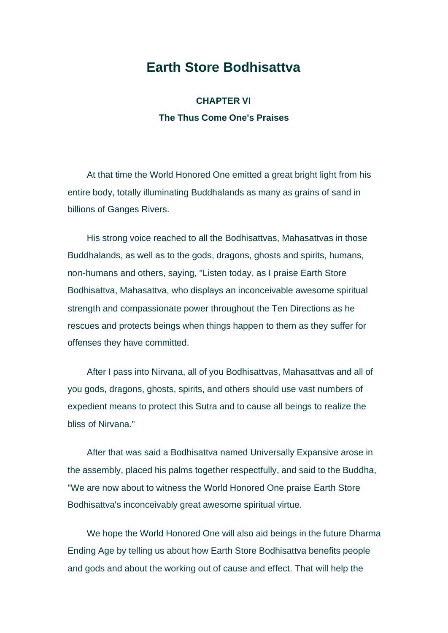#### **Earth Store Bodhisattva**

**CHAPTER VI The Thus Come One's Praises** 

At that time the World Honored One emitted a great bright light from his entire body, totally illuminating Buddhalands as many as grains of sand in billions of Ganges Rivers.

His strong voice reached to all the Bodhisattvas, Mahasattvas in those Buddhalands, as well as to the gods, dragons, ghosts and spirits, humans, non-humans and others, saying, "Listen today, as I praise Earth Store Bodhisattva, Mahasattva, who displays an inconceivable awesome spiritual strength and compassionate power throughout the Ten Directions as he rescues and protects beings when things happen to them as they suffer for offenses they have committed.

After I pass into Nirvana, all of you Bodhisattvas, Mahasattvas and all of you gods, dragons, ghosts, spirits, and others should use vast numbers of expedient means to protect this Sutra and to cause all beings to realize the bliss of Nirvana."

After that was said a Bodhisattva named Universally Expansive arose in the assembly, placed his palms together respectfully, and said to the Buddha, "We are now about to witness the World Honored One praise Earth Store Bodhisattva's inconceivably great awesome spiritual virtue.

We hope the World Honored One will also aid beings in the future Dharma Ending Age by telling us about how Earth Store Bodhisattva benefits people and gods and about the working out of cause and effect. That will help the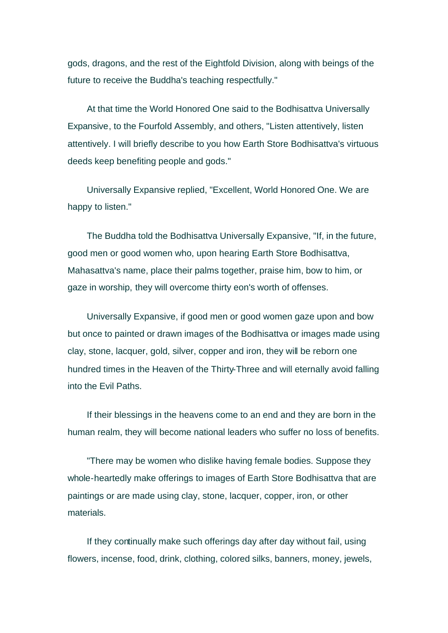gods, dragons, and the rest of the Eightfold Division, along with beings of the future to receive the Buddha's teaching respectfully."

At that time the World Honored One said to the Bodhisattva Universally Expansive, to the Fourfold Assembly, and others, "Listen attentively, listen attentively. I will briefly describe to you how Earth Store Bodhisattva's virtuous deeds keep benefiting people and gods."

Universally Expansive replied, "Excellent, World Honored One. We are happy to listen."

The Buddha told the Bodhisattva Universally Expansive, "If, in the future, good men or good women who, upon hearing Earth Store Bodhisattva, Mahasattva's name, place their palms together, praise him, bow to him, or gaze in worship, they will overcome thirty eon's worth of offenses.

Universally Expansive, if good men or good women gaze upon and bow but once to painted or drawn images of the Bodhisattva or images made using clay, stone, lacquer, gold, silver, copper and iron, they will be reborn one hundred times in the Heaven of the Thirty-Three and will eternally avoid falling into the Evil Paths.

If their blessings in the heavens come to an end and they are born in the human realm, they will become national leaders who suffer no loss of benefits.

"There may be women who dislike having female bodies. Suppose they whole-heartedly make offerings to images of Earth Store Bodhisattva that are paintings or are made using clay, stone, lacquer, copper, iron, or other materials.

If they continually make such offerings day after day without fail, using flowers, incense, food, drink, clothing, colored silks, banners, money, jewels,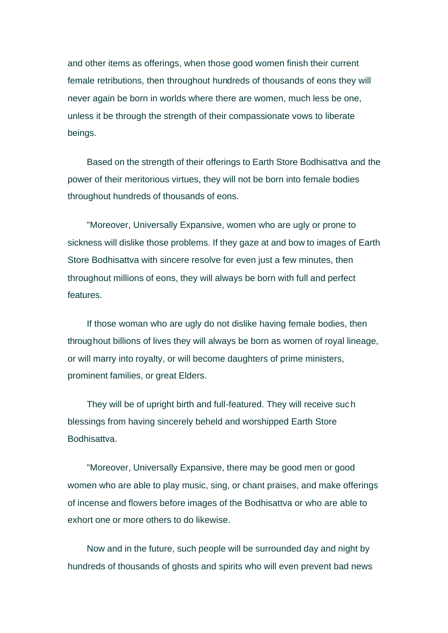and other items as offerings, when those good women finish their current female retributions, then throughout hundreds of thousands of eons they will never again be born in worlds where there are women, much less be one, unless it be through the strength of their compassionate vows to liberate beings.

Based on the strength of their offerings to Earth Store Bodhisattva and the power of their meritorious virtues, they will not be born into female bodies throughout hundreds of thousands of eons.

"Moreover, Universally Expansive, women who are ugly or prone to sickness will dislike those problems. If they gaze at and bow to images of Earth Store Bodhisattva with sincere resolve for even just a few minutes, then throughout millions of eons, they will always be born with full and perfect features.

If those woman who are ugly do not dislike having female bodies, then throughout billions of lives they will always be born as women of royal lineage, or will marry into royalty, or will become daughters of prime ministers, prominent families, or great Elders.

They will be of upright birth and full-featured. They will receive such blessings from having sincerely beheld and worshipped Earth Store Bodhisattva.

"Moreover, Universally Expansive, there may be good men or good women who are able to play music, sing, or chant praises, and make offerings of incense and flowers before images of the Bodhisattva or who are able to exhort one or more others to do likewise.

Now and in the future, such people will be surrounded day and night by hundreds of thousands of ghosts and spirits who will even prevent bad news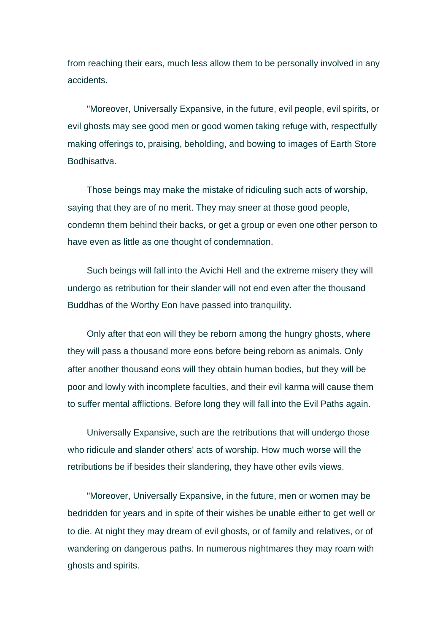from reaching their ears, much less allow them to be personally involved in any accidents.

"Moreover, Universally Expansive, in the future, evil people, evil spirits, or evil ghosts may see good men or good women taking refuge with, respectfully making offerings to, praising, beholding, and bowing to images of Earth Store Bodhisattva.

Those beings may make the mistake of ridiculing such acts of worship, saying that they are of no merit. They may sneer at those good people, condemn them behind their backs, or get a group or even one other person to have even as little as one thought of condemnation.

Such beings will fall into the Avichi Hell and the extreme misery they will undergo as retribution for their slander will not end even after the thousand Buddhas of the Worthy Eon have passed into tranquility.

Only after that eon will they be reborn among the hungry ghosts, where they will pass a thousand more eons before being reborn as animals. Only after another thousand eons will they obtain human bodies, but they will be poor and lowly with incomplete faculties, and their evil karma will cause them to suffer mental afflictions. Before long they will fall into the Evil Paths again.

Universally Expansive, such are the retributions that will undergo those who ridicule and slander others' acts of worship. How much worse will the retributions be if besides their slandering, they have other evils views.

"Moreover, Universally Expansive, in the future, men or women may be bedridden for years and in spite of their wishes be unable either to get well or to die. At night they may dream of evil ghosts, or of family and relatives, or of wandering on dangerous paths. In numerous nightmares they may roam with ghosts and spirits.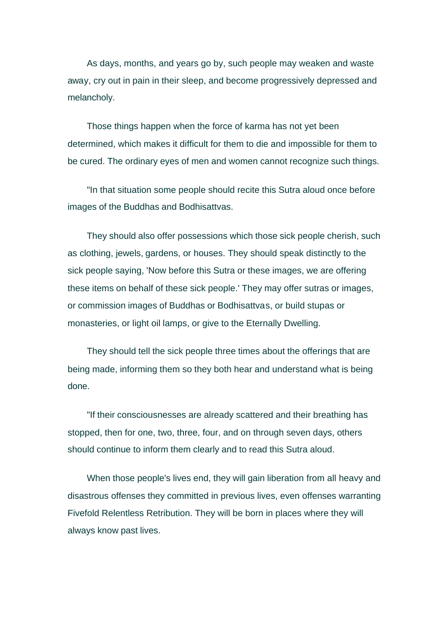As days, months, and years go by, such people may weaken and waste away, cry out in pain in their sleep, and become progressively depressed and melancholy.

Those things happen when the force of karma has not yet been determined, which makes it difficult for them to die and impossible for them to be cured. The ordinary eyes of men and women cannot recognize such things.

"In that situation some people should recite this Sutra aloud once before images of the Buddhas and Bodhisattvas.

They should also offer possessions which those sick people cherish, such as clothing, jewels, gardens, or houses. They should speak distinctly to the sick people saying, 'Now before this Sutra or these images, we are offering these items on behalf of these sick people.' They may offer sutras or images, or commission images of Buddhas or Bodhisattvas, or build stupas or monasteries, or light oil lamps, or give to the Eternally Dwelling.

They should tell the sick people three times about the offerings that are being made, informing them so they both hear and understand what is being done.

"If their consciousnesses are already scattered and their breathing has stopped, then for one, two, three, four, and on through seven days, others should continue to inform them clearly and to read this Sutra aloud.

When those people's lives end, they will gain liberation from all heavy and disastrous offenses they committed in previous lives, even offenses warranting Fivefold Relentless Retribution. They will be born in places where they will always know past lives.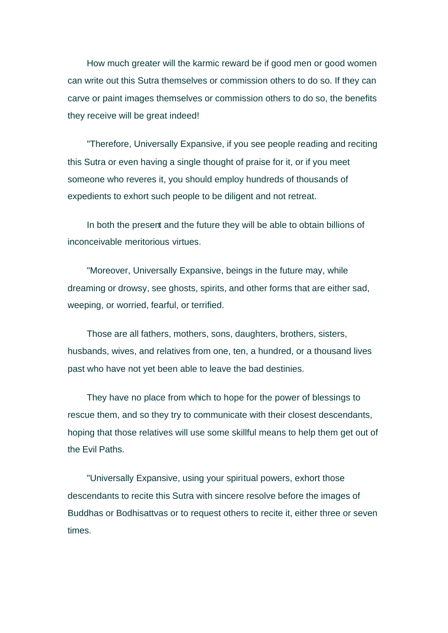How much greater will the karmic reward be if good men or good women can write out this Sutra themselves or commission others to do so. If they can carve or paint images themselves or commission others to do so, the benefits they receive will be great indeed!

"Therefore, Universally Expansive, if you see people reading and reciting this Sutra or even having a single thought of praise for it, or if you meet someone who reveres it, you should employ hundreds of thousands of expedients to exhort such people to be diligent and not retreat.

In both the present and the future they will be able to obtain billions of inconceivable meritorious virtues.

"Moreover, Universally Expansive, beings in the future may, while dreaming or drowsy, see ghosts, spirits, and other forms that are either sad, weeping, or worried, fearful, or terrified.

Those are all fathers, mothers, sons, daughters, brothers, sisters, husbands, wives, and relatives from one, ten, a hundred, or a thousand lives past who have not yet been able to leave the bad destinies.

They have no place from which to hope for the power of blessings to rescue them, and so they try to communicate with their closest descendants, hoping that those relatives will use some skillful means to help them get out of the Evil Paths.

"Universally Expansive, using your spiritual powers, exhort those descendants to recite this Sutra with sincere resolve before the images of Buddhas or Bodhisattvas or to request others to recite it, either three or seven times.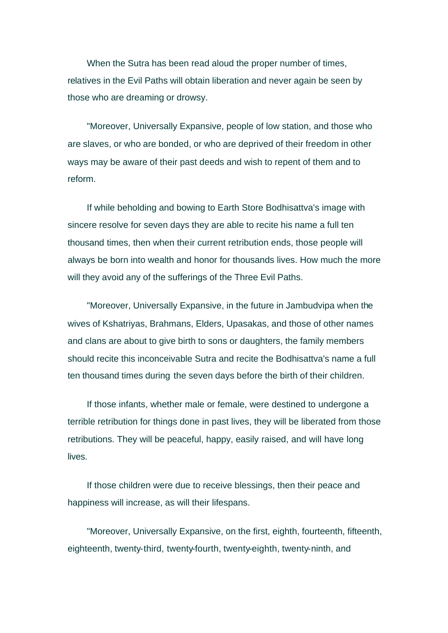When the Sutra has been read aloud the proper number of times, relatives in the Evil Paths will obtain liberation and never again be seen by those who are dreaming or drowsy.

"Moreover, Universally Expansive, people of low station, and those who are slaves, or who are bonded, or who are deprived of their freedom in other ways may be aware of their past deeds and wish to repent of them and to reform.

If while beholding and bowing to Earth Store Bodhisattva's image with sincere resolve for seven days they are able to recite his name a full ten thousand times, then when their current retribution ends, those people will always be born into wealth and honor for thousands lives. How much the more will they avoid any of the sufferings of the Three Evil Paths.

"Moreover, Universally Expansive, in the future in Jambudvipa when the wives of Kshatriyas, Brahmans, Elders, Upasakas, and those of other names and clans are about to give birth to sons or daughters, the family members should recite this inconceivable Sutra and recite the Bodhisattva's name a full ten thousand times during the seven days before the birth of their children.

If those infants, whether male or female, were destined to undergone a terrible retribution for things done in past lives, they will be liberated from those retributions. They will be peaceful, happy, easily raised, and will have long lives.

If those children were due to receive blessings, then their peace and happiness will increase, as will their lifespans.

"Moreover, Universally Expansive, on the first, eighth, fourteenth, fifteenth, eighteenth, twenty-third, twenty-fourth, twenty-eighth, twenty-ninth, and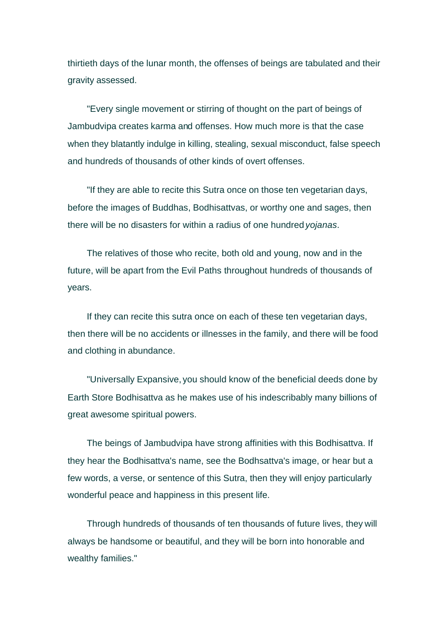thirtieth days of the lunar month, the offenses of beings are tabulated and their gravity assessed.

"Every single movement or stirring of thought on the part of beings of Jambudvipa creates karma and offenses. How much more is that the case when they blatantly indulge in killing, stealing, sexual misconduct, false speech and hundreds of thousands of other kinds of overt offenses.

"If they are able to recite this Sutra once on those ten vegetarian days, before the images of Buddhas, Bodhisattvas, or worthy one and sages, then there will be no disasters for within a radius of one hundred *yojanas*.

The relatives of those who recite, both old and young, now and in the future, will be apart from the Evil Paths throughout hundreds of thousands of years.

If they can recite this sutra once on each of these ten vegetarian days, then there will be no accidents or illnesses in the family, and there will be food and clothing in abundance.

"Universally Expansive, you should know of the beneficial deeds done by Earth Store Bodhisattva as he makes use of his indescribably many billions of great awesome spiritual powers.

The beings of Jambudvipa have strong affinities with this Bodhisattva. If they hear the Bodhisattva's name, see the Bodhsattva's image, or hear but a few words, a verse, or sentence of this Sutra, then they will enjoy particularly wonderful peace and happiness in this present life.

Through hundreds of thousands of ten thousands of future lives, they will always be handsome or beautiful, and they will be born into honorable and wealthy families."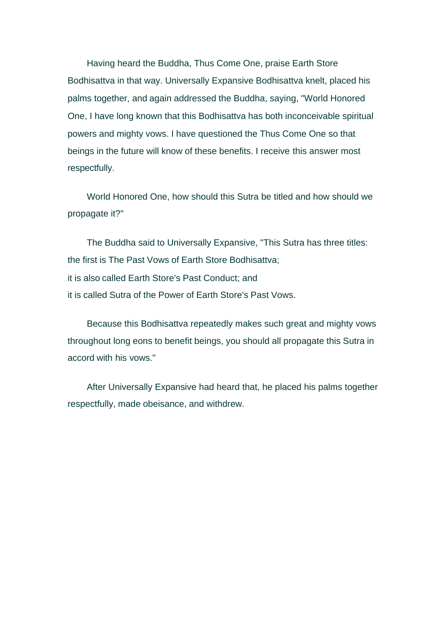Having heard the Buddha, Thus Come One, praise Earth Store Bodhisattva in that way. Universally Expansive Bodhisattva knelt, placed his palms together, and again addressed the Buddha, saying, "World Honored One, I have long known that this Bodhisattva has both inconceivable spiritual powers and mighty vows. I have questioned the Thus Come One so that beings in the future will know of these benefits. I receive this answer most respectfully.

World Honored One, how should this Sutra be titled and how should we propagate it?"

The Buddha said to Universally Expansive, "This Sutra has three titles: the first is The Past Vows of Earth Store Bodhisattva; it is also called Earth Store's Past Conduct; and it is called Sutra of the Power of Earth Store's Past Vows.

Because this Bodhisattva repeatedly makes such great and mighty vows throughout long eons to benefit beings, you should all propagate this Sutra in accord with his vows."

After Universally Expansive had heard that, he placed his palms together respectfully, made obeisance, and withdrew.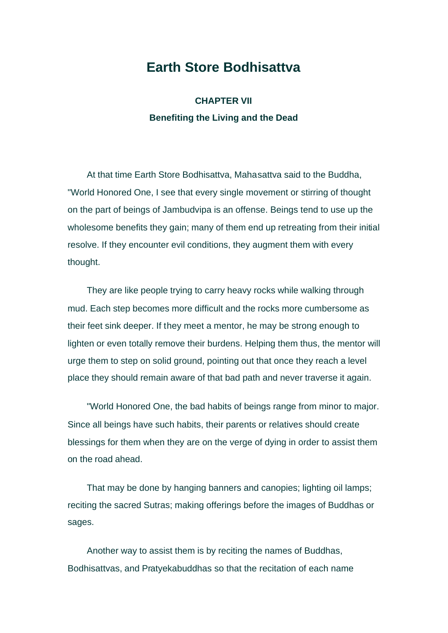## **Earth Store Bodhisattva**

**CHAPTER VII Benefiting the Living and the Dead** 

At that time Earth Store Bodhisattva, Mahasattva said to the Buddha, "World Honored One, I see that every single movement or stirring of thought on the part of beings of Jambudvipa is an offense. Beings tend to use up the wholesome benefits they gain; many of them end up retreating from their initial resolve. If they encounter evil conditions, they augment them with every thought.

They are like people trying to carry heavy rocks while walking through mud. Each step becomes more difficult and the rocks more cumbersome as their feet sink deeper. If they meet a mentor, he may be strong enough to lighten or even totally remove their burdens. Helping them thus, the mentor will urge them to step on solid ground, pointing out that once they reach a level place they should remain aware of that bad path and never traverse it again.

"World Honored One, the bad habits of beings range from minor to major. Since all beings have such habits, their parents or relatives should create blessings for them when they are on the verge of dying in order to assist them on the road ahead.

That may be done by hanging banners and canopies; lighting oil lamps; reciting the sacred Sutras; making offerings before the images of Buddhas or sages.

Another way to assist them is by reciting the names of Buddhas, Bodhisattvas, and Pratyekabuddhas so that the recitation of each name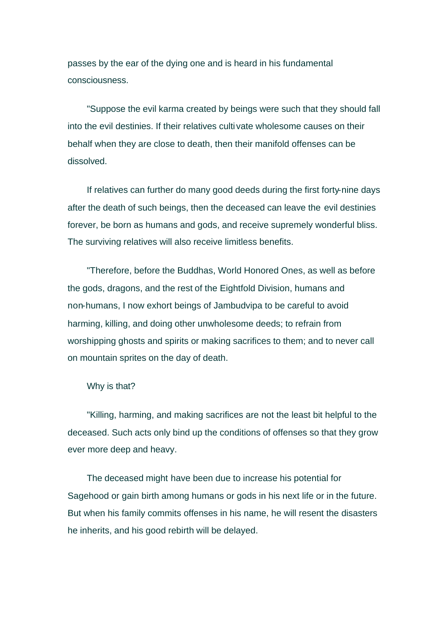passes by the ear of the dying one and is heard in his fundamental consciousness.

"Suppose the evil karma created by beings were such that they should fall into the evil destinies. If their relatives cultivate wholesome causes on their behalf when they are close to death, then their manifold offenses can be dissolved.

If relatives can further do many good deeds during the first forty-nine days after the death of such beings, then the deceased can leave the evil destinies forever, be born as humans and gods, and receive supremely wonderful bliss. The surviving relatives will also receive limitless benefits.

"Therefore, before the Buddhas, World Honored Ones, as well as before the gods, dragons, and the rest of the Eightfold Division, humans and non-humans, I now exhort beings of Jambudvipa to be careful to avoid harming, killing, and doing other unwholesome deeds; to refrain from worshipping ghosts and spirits or making sacrifices to them; and to never call on mountain sprites on the day of death.

Why is that?

"Killing, harming, and making sacrifices are not the least bit helpful to the deceased. Such acts only bind up the conditions of offenses so that they grow ever more deep and heavy.

The deceased might have been due to increase his potential for Sagehood or gain birth among humans or gods in his next life or in the future. But when his family commits offenses in his name, he will resent the disasters he inherits, and his good rebirth will be delayed.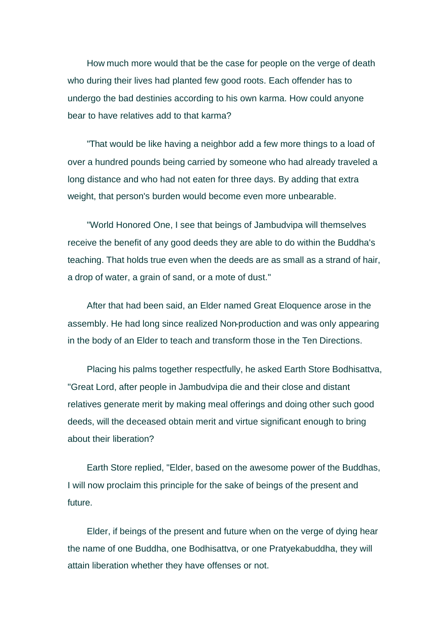How much more would that be the case for people on the verge of death who during their lives had planted few good roots. Each offender has to undergo the bad destinies according to his own karma. How could anyone bear to have relatives add to that karma?

"That would be like having a neighbor add a few more things to a load of over a hundred pounds being carried by someone who had already traveled a long distance and who had not eaten for three days. By adding that extra weight, that person's burden would become even more unbearable.

"World Honored One, I see that beings of Jambudvipa will themselves receive the benefit of any good deeds they are able to do within the Buddha's teaching. That holds true even when the deeds are as small as a strand of hair, a drop of water, a grain of sand, or a mote of dust."

After that had been said, an Elder named Great Eloquence arose in the assembly. He had long since realized Non-production and was only appearing in the body of an Elder to teach and transform those in the Ten Directions.

Placing his palms together respectfully, he asked Earth Store Bodhisattva, "Great Lord, after people in Jambudvipa die and their close and distant relatives generate merit by making meal offerings and doing other such good deeds, will the deceased obtain merit and virtue significant enough to bring about their liberation?

Earth Store replied, "Elder, based on the awesome power of the Buddhas, I will now proclaim this principle for the sake of beings of the present and future.

Elder, if beings of the present and future when on the verge of dying hear the name of one Buddha, one Bodhisattva, or one Pratyekabuddha, they will attain liberation whether they have offenses or not.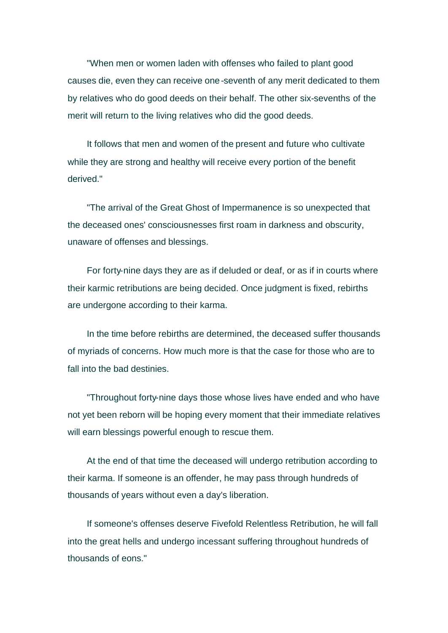"When men or women laden with offenses who failed to plant good causes die, even they can receive one-seventh of any merit dedicated to them by relatives who do good deeds on their behalf. The other six-sevenths of the merit will return to the living relatives who did the good deeds.

It follows that men and women of the present and future who cultivate while they are strong and healthy will receive every portion of the benefit derived."

"The arrival of the Great Ghost of Impermanence is so unexpected that the deceased ones' consciousnesses first roam in darkness and obscurity, unaware of offenses and blessings.

For forty-nine days they are as if deluded or deaf, or as if in courts where their karmic retributions are being decided. Once judgment is fixed, rebirths are undergone according to their karma.

In the time before rebirths are determined, the deceased suffer thousands of myriads of concerns. How much more is that the case for those who are to fall into the bad destinies.

"Throughout forty-nine days those whose lives have ended and who have not yet been reborn will be hoping every moment that their immediate relatives will earn blessings powerful enough to rescue them.

At the end of that time the deceased will undergo retribution according to their karma. If someone is an offender, he may pass through hundreds of thousands of years without even a day's liberation.

If someone's offenses deserve Fivefold Relentless Retribution, he will fall into the great hells and undergo incessant suffering throughout hundreds of thousands of eons."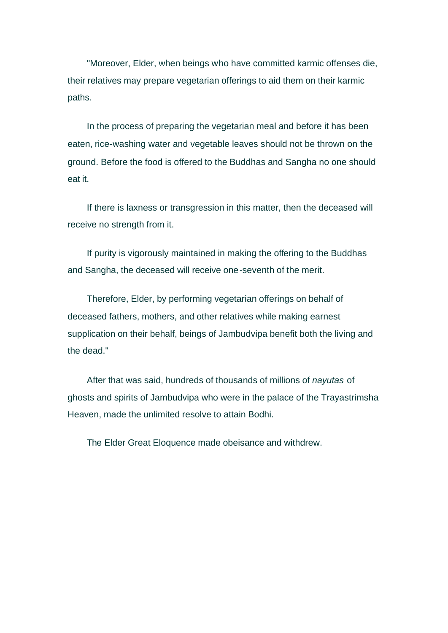"Moreover, Elder, when beings who have committed karmic offenses die, their relatives may prepare vegetarian offerings to aid them on their karmic paths.

In the process of preparing the vegetarian meal and before it has been eaten, rice-washing water and vegetable leaves should not be thrown on the ground. Before the food is offered to the Buddhas and Sangha no one should eat it.

If there is laxness or transgression in this matter, then the deceased will receive no strength from it.

If purity is vigorously maintained in making the offering to the Buddhas and Sangha, the deceased will receive one-seventh of the merit.

Therefore, Elder, by performing vegetarian offerings on behalf of deceased fathers, mothers, and other relatives while making earnest supplication on their behalf, beings of Jambudvipa benefit both the living and the dead."

After that was said, hundreds of thousands of millions of *nayutas* of ghosts and spirits of Jambudvipa who were in the palace of the Trayastrimsha Heaven, made the unlimited resolve to attain Bodhi.

The Elder Great Eloquence made obeisance and withdrew.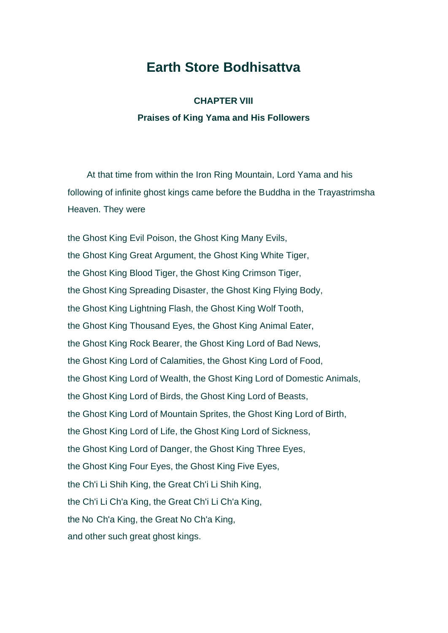# **Earth Store Bodhisattva**

## **CHAPTER VIII Praises of King Yama and His Followers**

At that time from within the Iron Ring Mountain, Lord Yama and his following of infinite ghost kings came before the Buddha in the Trayastrimsha Heaven. They were

the Ghost King Evil Poison, the Ghost King Many Evils, the Ghost King Great Argument, the Ghost King White Tiger, the Ghost King Blood Tiger, the Ghost King Crimson Tiger, the Ghost King Spreading Disaster, the Ghost King Flying Body, the Ghost King Lightning Flash, the Ghost King Wolf Tooth, the Ghost King Thousand Eyes, the Ghost King Animal Eater, the Ghost King Rock Bearer, the Ghost King Lord of Bad News, the Ghost King Lord of Calamities, the Ghost King Lord of Food, the Ghost King Lord of Wealth, the Ghost King Lord of Domestic Animals, the Ghost King Lord of Birds, the Ghost King Lord of Beasts, the Ghost King Lord of Mountain Sprites, the Ghost King Lord of Birth, the Ghost King Lord of Life, the Ghost King Lord of Sickness, the Ghost King Lord of Danger, the Ghost King Three Eyes, the Ghost King Four Eyes, the Ghost King Five Eyes, the Ch'i Li Shih King, the Great Ch'i Li Shih King, the Ch'i Li Ch'a King, the Great Ch'i Li Ch'a King, the No Ch'a King, the Great No Ch'a King, and other such great ghost kings.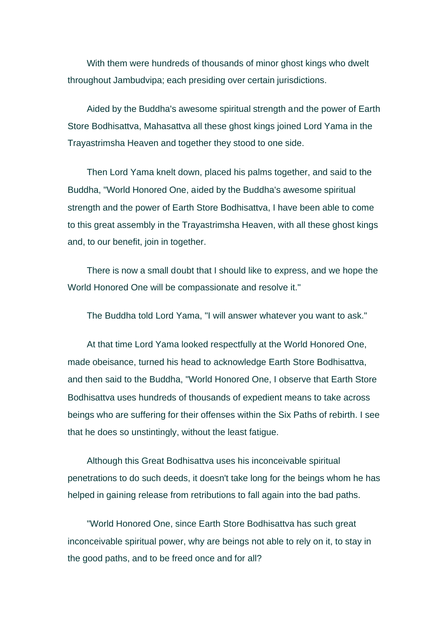With them were hundreds of thousands of minor ghost kings who dwelt throughout Jambudvipa; each presiding over certain jurisdictions.

Aided by the Buddha's awesome spiritual strength and the power of Earth Store Bodhisattva, Mahasattva all these ghost kings joined Lord Yama in the Trayastrimsha Heaven and together they stood to one side.

Then Lord Yama knelt down, placed his palms together, and said to the Buddha, "World Honored One, aided by the Buddha's awesome spiritual strength and the power of Earth Store Bodhisattva, I have been able to come to this great assembly in the Trayastrimsha Heaven, with all these ghost kings and, to our benefit, join in together.

There is now a small doubt that I should like to express, and we hope the World Honored One will be compassionate and resolve it."

The Buddha told Lord Yama, "I will answer whatever you want to ask."

At that time Lord Yama looked respectfully at the World Honored One, made obeisance, turned his head to acknowledge Earth Store Bodhisattva, and then said to the Buddha, "World Honored One, I observe that Earth Store Bodhisattva uses hundreds of thousands of expedient means to take across beings who are suffering for their offenses within the Six Paths of rebirth. I see that he does so unstintingly, without the least fatigue.

Although this Great Bodhisattva uses his inconceivable spiritual penetrations to do such deeds, it doesn't take long for the beings whom he has helped in gaining release from retributions to fall again into the bad paths.

"World Honored One, since Earth Store Bodhisattva has such great inconceivable spiritual power, why are beings not able to rely on it, to stay in the good paths, and to be freed once and for all?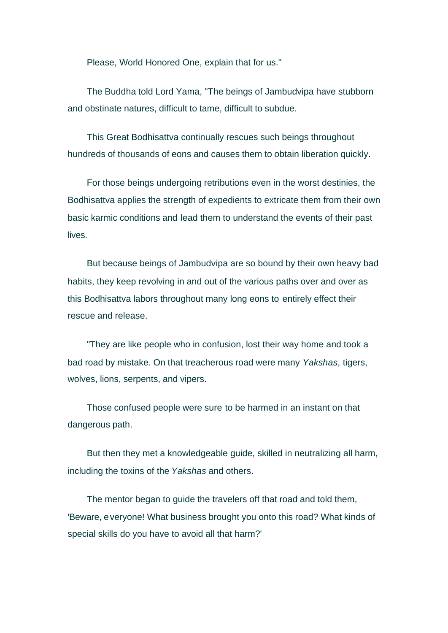Please, World Honored One, explain that for us."

The Buddha told Lord Yama, "The beings of Jambudvipa have stubborn and obstinate natures, difficult to tame, difficult to subdue.

This Great Bodhisattva continually rescues such beings throughout hundreds of thousands of eons and causes them to obtain liberation quickly.

For those beings undergoing retributions even in the worst destinies, the Bodhisattva applies the strength of expedients to extricate them from their own basic karmic conditions and lead them to understand the events of their past lives.

But because beings of Jambudvipa are so bound by their own heavy bad habits, they keep revolving in and out of the various paths over and over as this Bodhisattva labors throughout many long eons to entirely effect their rescue and release.

"They are like people who in confusion, lost their way home and took a bad road by mistake. On that treacherous road were many *Yakshas*, tigers, wolves, lions, serpents, and vipers.

Those confused people were sure to be harmed in an instant on that dangerous path.

But then they met a knowledgeable guide, skilled in neutralizing all harm, including the toxins of the *Yakshas* and others.

The mentor began to guide the travelers off that road and told them, 'Beware, everyone! What business brought you onto this road? What kinds of special skills do you have to avoid all that harm?'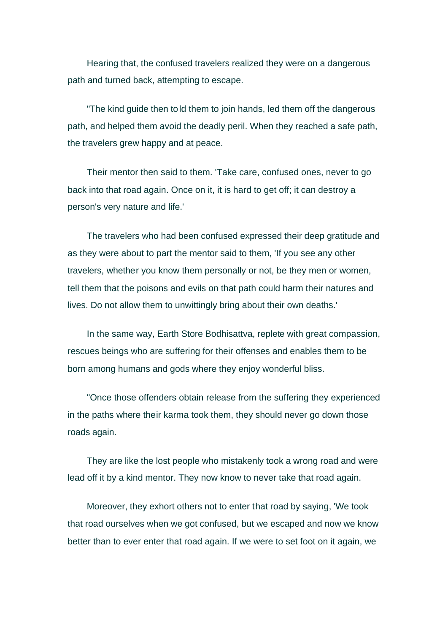Hearing that, the confused travelers realized they were on a dangerous path and turned back, attempting to escape.

"The kind guide then told them to join hands, led them off the dangerous path, and helped them avoid the deadly peril. When they reached a safe path, the travelers grew happy and at peace.

Their mentor then said to them. 'Take care, confused ones, never to go back into that road again. Once on it, it is hard to get off; it can destroy a person's very nature and life.'

The travelers who had been confused expressed their deep gratitude and as they were about to part the mentor said to them, 'If you see any other travelers, whether you know them personally or not, be they men or women, tell them that the poisons and evils on that path could harm their natures and lives. Do not allow them to unwittingly bring about their own deaths.'

In the same way, Earth Store Bodhisattva, replete with great compassion, rescues beings who are suffering for their offenses and enables them to be born among humans and gods where they enjoy wonderful bliss.

"Once those offenders obtain release from the suffering they experienced in the paths where their karma took them, they should never go down those roads again.

They are like the lost people who mistakenly took a wrong road and were lead off it by a kind mentor. They now know to never take that road again.

Moreover, they exhort others not to enter that road by saying, 'We took that road ourselves when we got confused, but we escaped and now we know better than to ever enter that road again. If we were to set foot on it again, we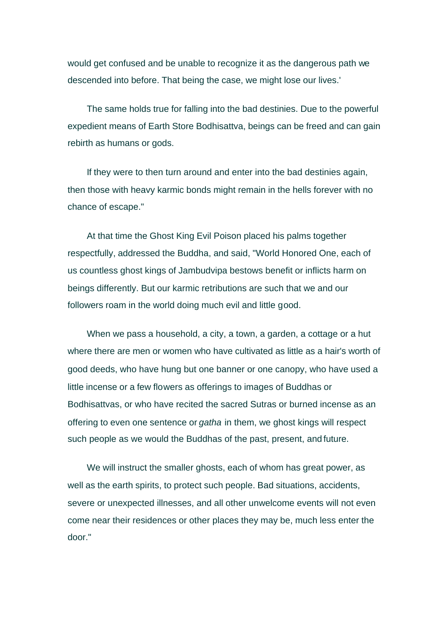would get confused and be unable to recognize it as the dangerous path we descended into before. That being the case, we might lose our lives.'

The same holds true for falling into the bad destinies. Due to the powerful expedient means of Earth Store Bodhisattva, beings can be freed and can gain rebirth as humans or gods.

If they were to then turn around and enter into the bad destinies again, then those with heavy karmic bonds might remain in the hells forever with no chance of escape."

At that time the Ghost King Evil Poison placed his palms together respectfully, addressed the Buddha, and said, "World Honored One, each of us countless ghost kings of Jambudvipa bestows benefit or inflicts harm on beings differently. But our karmic retributions are such that we and our followers roam in the world doing much evil and little good.

When we pass a household, a city, a town, a garden, a cottage or a hut where there are men or women who have cultivated as little as a hair's worth of good deeds, who have hung but one banner or one canopy, who have used a little incense or a few flowers as offerings to images of Buddhas or Bodhisattvas, or who have recited the sacred Sutras or burned incense as an offering to even one sentence or *gatha* in them, we ghost kings will respect such people as we would the Buddhas of the past, present, and future.

We will instruct the smaller ghosts, each of whom has great power, as well as the earth spirits, to protect such people. Bad situations, accidents, severe or unexpected illnesses, and all other unwelcome events will not even come near their residences or other places they may be, much less enter the door."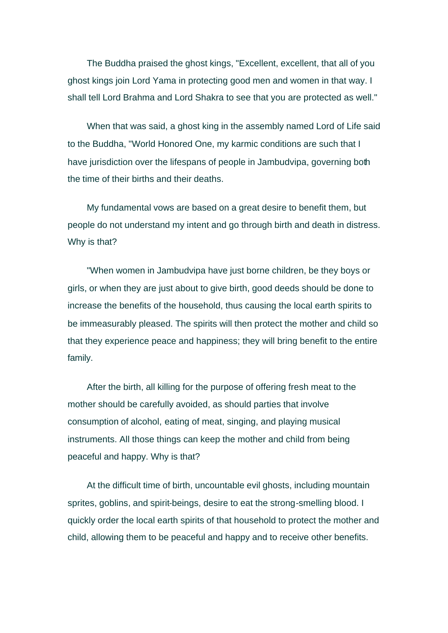The Buddha praised the ghost kings, "Excellent, excellent, that all of you ghost kings join Lord Yama in protecting good men and women in that way. I shall tell Lord Brahma and Lord Shakra to see that you are protected as well."

When that was said, a ghost king in the assembly named Lord of Life said to the Buddha, "World Honored One, my karmic conditions are such that I have jurisdiction over the lifespans of people in Jambudvipa, governing both the time of their births and their deaths.

My fundamental vows are based on a great desire to benefit them, but people do not understand my intent and go through birth and death in distress. Why is that?

"When women in Jambudvipa have just borne children, be they boys or girls, or when they are just about to give birth, good deeds should be done to increase the benefits of the household, thus causing the local earth spirits to be immeasurably pleased. The spirits will then protect the mother and child so that they experience peace and happiness; they will bring benefit to the entire family.

After the birth, all killing for the purpose of offering fresh meat to the mother should be carefully avoided, as should parties that involve consumption of alcohol, eating of meat, singing, and playing musical instruments. All those things can keep the mother and child from being peaceful and happy. Why is that?

At the difficult time of birth, uncountable evil ghosts, including mountain sprites, goblins, and spirit-beings, desire to eat the strong-smelling blood. I quickly order the local earth spirits of that household to protect the mother and child, allowing them to be peaceful and happy and to receive other benefits.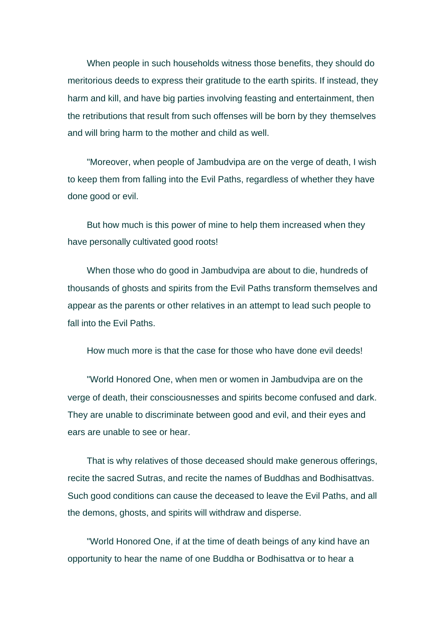When people in such households witness those benefits, they should do meritorious deeds to express their gratitude to the earth spirits. If instead, they harm and kill, and have big parties involving feasting and entertainment, then the retributions that result from such offenses will be born by they themselves and will bring harm to the mother and child as well.

"Moreover, when people of Jambudvipa are on the verge of death, I wish to keep them from falling into the Evil Paths, regardless of whether they have done good or evil.

But how much is this power of mine to help them increased when they have personally cultivated good roots!

When those who do good in Jambudvipa are about to die, hundreds of thousands of ghosts and spirits from the Evil Paths transform themselves and appear as the parents or other relatives in an attempt to lead such people to fall into the Evil Paths.

How much more is that the case for those who have done evil deeds!

"World Honored One, when men or women in Jambudvipa are on the verge of death, their consciousnesses and spirits become confused and dark. They are unable to discriminate between good and evil, and their eyes and ears are unable to see or hear.

That is why relatives of those deceased should make generous offerings, recite the sacred Sutras, and recite the names of Buddhas and Bodhisattvas. Such good conditions can cause the deceased to leave the Evil Paths, and all the demons, ghosts, and spirits will withdraw and disperse.

"World Honored One, if at the time of death beings of any kind have an opportunity to hear the name of one Buddha or Bodhisattva or to hear a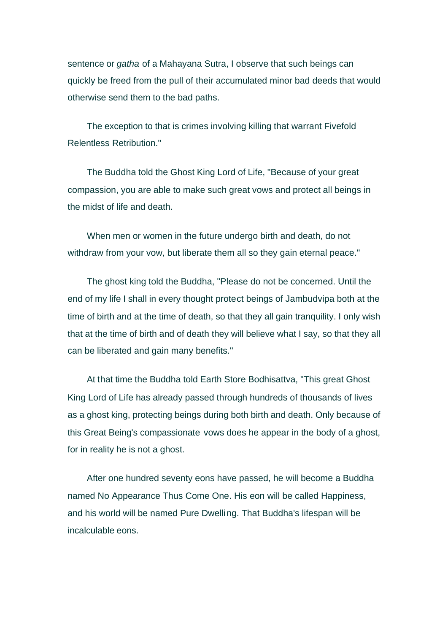sentence or *gatha* of a Mahayana Sutra, I observe that such beings can quickly be freed from the pull of their accumulated minor bad deeds that would otherwise send them to the bad paths.

The exception to that is crimes involving killing that warrant Fivefold Relentless Retribution."

The Buddha told the Ghost King Lord of Life, "Because of your great compassion, you are able to make such great vows and protect all beings in the midst of life and death.

When men or women in the future undergo birth and death, do not withdraw from your vow, but liberate them all so they gain eternal peace."

The ghost king told the Buddha, "Please do not be concerned. Until the end of my life I shall in every thought protect beings of Jambudvipa both at the time of birth and at the time of death, so that they all gain tranquility. I only wish that at the time of birth and of death they will believe what I say, so that they all can be liberated and gain many benefits."

At that time the Buddha told Earth Store Bodhisattva, "This great Ghost King Lord of Life has already passed through hundreds of thousands of lives as a ghost king, protecting beings during both birth and death. Only because of this Great Being's compassionate vows does he appear in the body of a ghost, for in reality he is not a ghost.

After one hundred seventy eons have passed, he will become a Buddha named No Appearance Thus Come One. His eon will be called Happiness, and his world will be named Pure Dwelling. That Buddha's lifespan will be incalculable eons.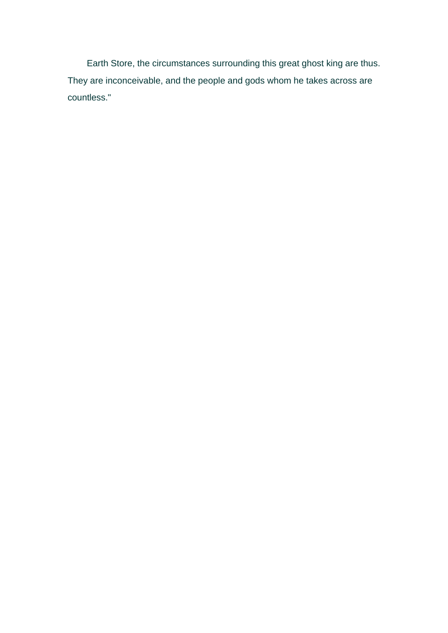Earth Store, the circumstances surrounding this great ghost king are thus. They are inconceivable, and the people and gods whom he takes across are countless."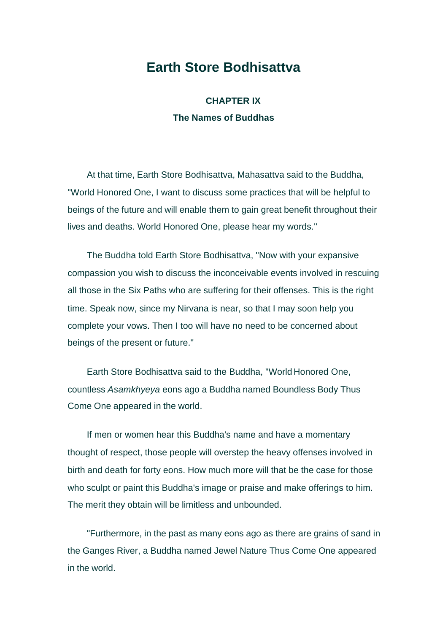## **Earth Store Bodhisattva**

**CHAPTER IX The Names of Buddhas** 

At that time, Earth Store Bodhisattva, Mahasattva said to the Buddha, "World Honored One, I want to discuss some practices that will be helpful to beings of the future and will enable them to gain great benefit throughout their lives and deaths. World Honored One, please hear my words."

The Buddha told Earth Store Bodhisattva, "Now with your expansive compassion you wish to discuss the inconceivable events involved in rescuing all those in the Six Paths who are suffering for their offenses. This is the right time. Speak now, since my Nirvana is near, so that I may soon help you complete your vows. Then I too will have no need to be concerned about beings of the present or future."

Earth Store Bodhisattva said to the Buddha, "World Honored One, countless *Asamkhyeya* eons ago a Buddha named Boundless Body Thus Come One appeared in the world.

If men or women hear this Buddha's name and have a momentary thought of respect, those people will overstep the heavy offenses involved in birth and death for forty eons. How much more will that be the case for those who sculpt or paint this Buddha's image or praise and make offerings to him. The merit they obtain will be limitless and unbounded.

"Furthermore, in the past as many eons ago as there are grains of sand in the Ganges River, a Buddha named Jewel Nature Thus Come One appeared in the world.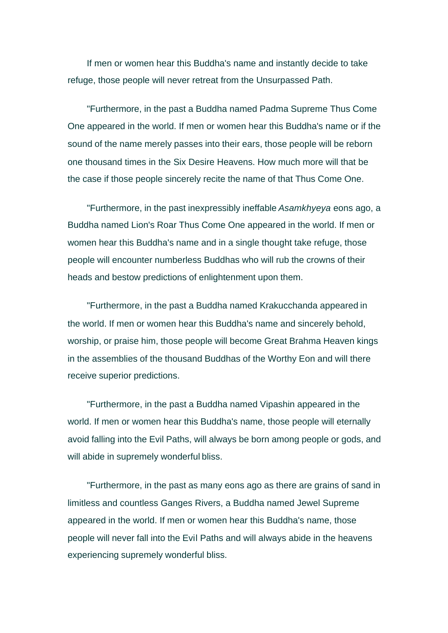If men or women hear this Buddha's name and instantly decide to take refuge, those people will never retreat from the Unsurpassed Path.

"Furthermore, in the past a Buddha named Padma Supreme Thus Come One appeared in the world. If men or women hear this Buddha's name or if the sound of the name merely passes into their ears, those people will be reborn one thousand times in the Six Desire Heavens. How much more will that be the case if those people sincerely recite the name of that Thus Come One.

"Furthermore, in the past inexpressibly ineffable *Asamkhyeya* eons ago, a Buddha named Lion's Roar Thus Come One appeared in the world. If men or women hear this Buddha's name and in a single thought take refuge, those people will encounter numberless Buddhas who will rub the crowns of their heads and bestow predictions of enlightenment upon them.

"Furthermore, in the past a Buddha named Krakucchanda appeared in the world. If men or women hear this Buddha's name and sincerely behold, worship, or praise him, those people will become Great Brahma Heaven kings in the assemblies of the thousand Buddhas of the Worthy Eon and will there receive superior predictions.

"Furthermore, in the past a Buddha named Vipashin appeared in the world. If men or women hear this Buddha's name, those people will eternally avoid falling into the Evil Paths, will always be born among people or gods, and will abide in supremely wonderful bliss.

"Furthermore, in the past as many eons ago as there are grains of sand in limitless and countless Ganges Rivers, a Buddha named Jewel Supreme appeared in the world. If men or women hear this Buddha's name, those people will never fall into the Evil Paths and will always abide in the heavens experiencing supremely wonderful bliss.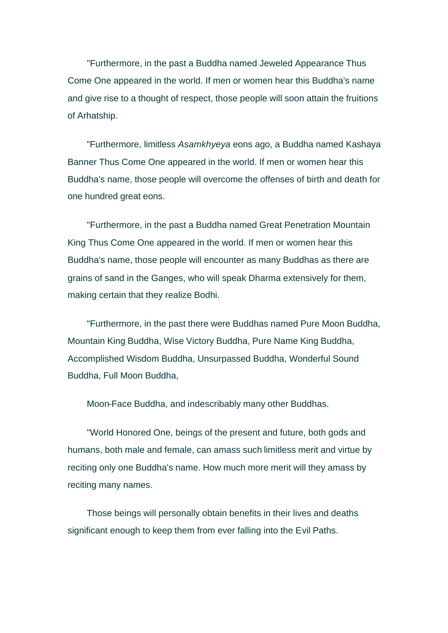"Furthermore, in the past a Buddha named Jeweled Appearance Thus Come One appeared in the world. If men or women hear this Buddha's name and give rise to a thought of respect, those people will soon attain the fruitions of Arhatship.

"Furthermore, limitless *Asamkhyeya* eons ago, a Buddha named Kashaya Banner Thus Come One appeared in the world. If men or women hear this Buddha's name, those people will overcome the offenses of birth and death for one hundred great eons.

"Furthermore, in the past a Buddha named Great Penetration Mountain King Thus Come One appeared in the world. If men or women hear this Buddha's name, those people will encounter as many Buddhas as there are grains of sand in the Ganges, who will speak Dharma extensively for them, making certain that they realize Bodhi.

"Furthermore, in the past there were Buddhas named Pure Moon Buddha, Mountain King Buddha, Wise Victory Buddha, Pure Name King Buddha, Accomplished Wisdom Buddha, Unsurpassed Buddha, Wonderful Sound Buddha, Full Moon Buddha,

Moon-Face Buddha, and indescribably many other Buddhas.

"World Honored One, beings of the present and future, both gods and humans, both male and female, can amass such limitless merit and virtue by reciting only one Buddha's name. How much more merit will they amass by reciting many names.

Those beings will personally obtain benefits in their lives and deaths significant enough to keep them from ever falling into the Evil Paths.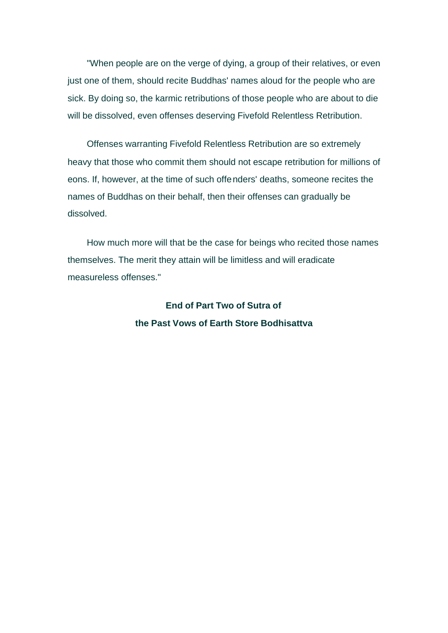"When people are on the verge of dying, a group of their relatives, or even just one of them, should recite Buddhas' names aloud for the people who are sick. By doing so, the karmic retributions of those people who are about to die will be dissolved, even offenses deserving Fivefold Relentless Retribution.

Offenses warranting Fivefold Relentless Retribution are so extremely heavy that those who commit them should not escape retribution for millions of eons. If, however, at the time of such offenders' deaths, someone recites the names of Buddhas on their behalf, then their offenses can gradually be dissolved.

How much more will that be the case for beings who recited those names themselves. The merit they attain will be limitless and will eradicate measureless offenses."

> **End of Part Two of Sutra of the Past Vows of Earth Store Bodhisattva**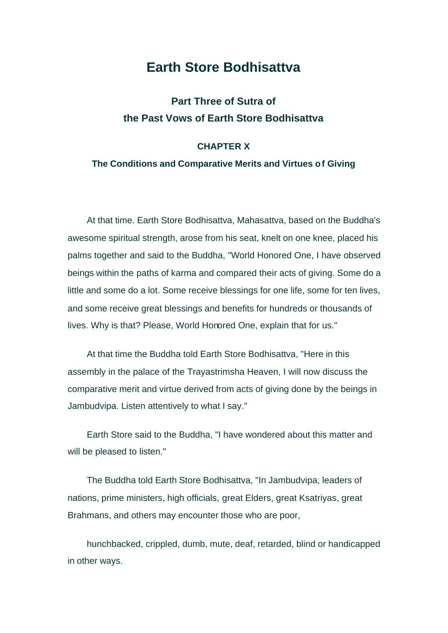#### **Earth Store Bodhisattva**

#### **Part Three of Sutra of the Past Vows of Earth Store Bodhisattva**

#### **CHAPTER X**

#### **The Conditions and Comparative Merits and Virtues of Giving**

At that time. Earth Store Bodhisattva, Mahasattva, based on the Buddha's awesome spiritual strength, arose from his seat, knelt on one knee, placed his palms together and said to the Buddha, "World Honored One, I have observed beings within the paths of karma and compared their acts of giving. Some do a little and some do a lot. Some receive blessings for one life, some for ten lives, and some receive great blessings and benefits for hundreds or thousands of lives. Why is that? Please, World Honored One, explain that for us."

At that time the Buddha told Earth Store Bodhisattva, "Here in this assembly in the palace of the Trayastrimsha Heaven, I will now discuss the comparative merit and virtue derived from acts of giving done by the beings in Jambudvipa. Listen attentively to what I say."

Earth Store said to the Buddha, "I have wondered about this matter and will be pleased to listen."

The Buddha told Earth Store Bodhisattva, "In Jambudvipa, leaders of nations, prime ministers, high officials, great Elders, great Ksatriyas, great Brahmans, and others may encounter those who are poor,

hunchbacked, crippled, dumb, mute, deaf, retarded, blind or handicapped in other ways.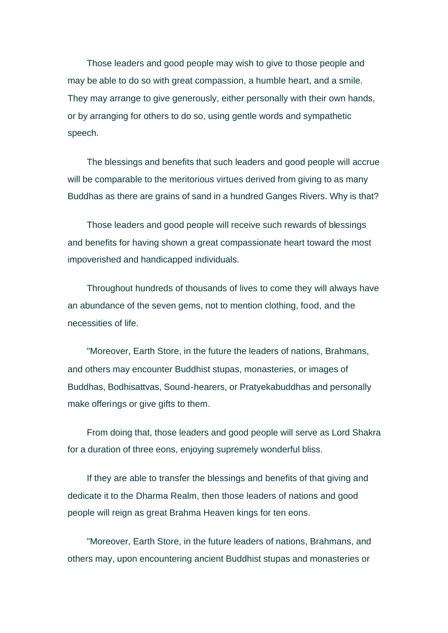Those leaders and good people may wish to give to those people and may be able to do so with great compassion, a humble heart, and a smile. They may arrange to give generously, either personally with their own hands, or by arranging for others to do so, using gentle words and sympathetic speech.

The blessings and benefits that such leaders and good people will accrue will be comparable to the meritorious virtues derived from giving to as many Buddhas as there are grains of sand in a hundred Ganges Rivers. Why is that?

Those leaders and good people will receive such rewards of blessings and benefits for having shown a great compassionate heart toward the most impoverished and handicapped individuals.

Throughout hundreds of thousands of lives to come they will always have an abundance of the seven gems, not to mention clothing, food, and the necessities of life.

"Moreover, Earth Store, in the future the leaders of nations, Brahmans, and others may encounter Buddhist stupas, monasteries, or images of Buddhas, Bodhisattvas, Sound-hearers, or Pratyekabuddhas and personally make offerings or give gifts to them.

From doing that, those leaders and good people will serve as Lord Shakra for a duration of three eons, enjoying supremely wonderful bliss.

If they are able to transfer the blessings and benefits of that giving and dedicate it to the Dharma Realm, then those leaders of nations and good people will reign as great Brahma Heaven kings for ten eons.

"Moreover, Earth Store, in the future leaders of nations, Brahmans, and others may, upon encountering ancient Buddhist stupas and monasteries or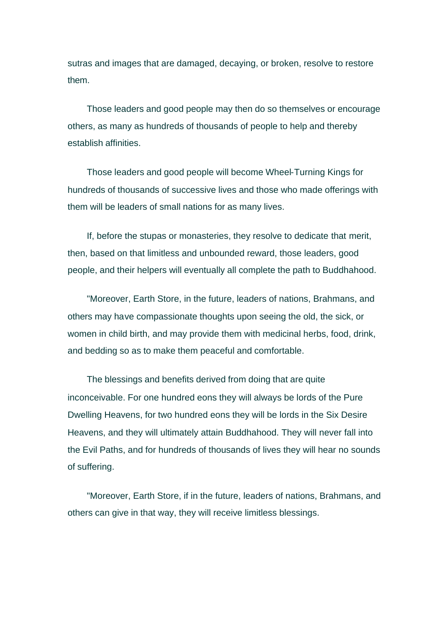sutras and images that are damaged, decaying, or broken, resolve to restore them.

Those leaders and good people may then do so themselves or encourage others, as many as hundreds of thousands of people to help and thereby establish affinities.

Those leaders and good people will become Wheel-Turning Kings for hundreds of thousands of successive lives and those who made offerings with them will be leaders of small nations for as many lives.

If, before the stupas or monasteries, they resolve to dedicate that merit, then, based on that limitless and unbounded reward, those leaders, good people, and their helpers will eventually all complete the path to Buddhahood.

"Moreover, Earth Store, in the future, leaders of nations, Brahmans, and others may have compassionate thoughts upon seeing the old, the sick, or women in child birth, and may provide them with medicinal herbs, food, drink, and bedding so as to make them peaceful and comfortable.

The blessings and benefits derived from doing that are quite inconceivable. For one hundred eons they will always be lords of the Pure Dwelling Heavens, for two hundred eons they will be lords in the Six Desire Heavens, and they will ultimately attain Buddhahood. They will never fall into the Evil Paths, and for hundreds of thousands of lives they will hear no sounds of suffering.

"Moreover, Earth Store, if in the future, leaders of nations, Brahmans, and others can give in that way, they will receive limitless blessings.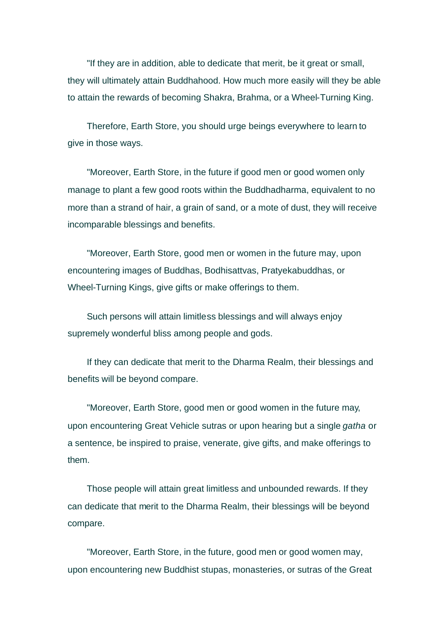"If they are in addition, able to dedicate that merit, be it great or small, they will ultimately attain Buddhahood. How much more easily will they be able to attain the rewards of becoming Shakra, Brahma, or a Wheel-Turning King.

Therefore, Earth Store, you should urge beings everywhere to learn to give in those ways.

"Moreover, Earth Store, in the future if good men or good women only manage to plant a few good roots within the Buddhadharma, equivalent to no more than a strand of hair, a grain of sand, or a mote of dust, they will receive incomparable blessings and benefits.

"Moreover, Earth Store, good men or women in the future may, upon encountering images of Buddhas, Bodhisattvas, Pratyekabuddhas, or Wheel-Turning Kings, give gifts or make offerings to them.

Such persons will attain limitless blessings and will always enjoy supremely wonderful bliss among people and gods.

If they can dedicate that merit to the Dharma Realm, their blessings and benefits will be beyond compare.

"Moreover, Earth Store, good men or good women in the future may, upon encountering Great Vehicle sutras or upon hearing but a single *gatha* or a sentence, be inspired to praise, venerate, give gifts, and make offerings to them.

Those people will attain great limitless and unbounded rewards. If they can dedicate that merit to the Dharma Realm, their blessings will be beyond compare.

"Moreover, Earth Store, in the future, good men or good women may, upon encountering new Buddhist stupas, monasteries, or sutras of the Great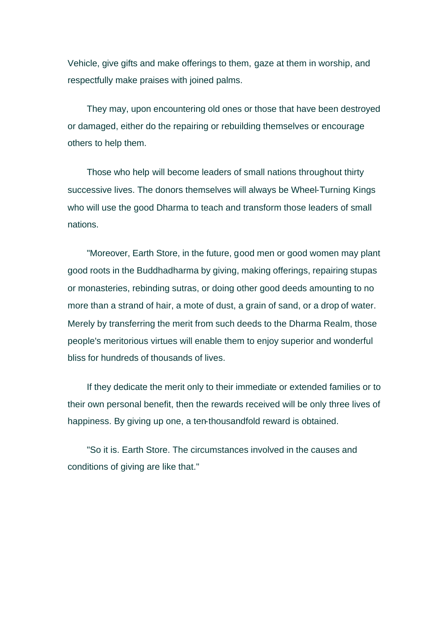Vehicle, give gifts and make offerings to them, gaze at them in worship, and respectfully make praises with joined palms.

They may, upon encountering old ones or those that have been destroyed or damaged, either do the repairing or rebuilding themselves or encourage others to help them.

Those who help will become leaders of small nations throughout thirty successive lives. The donors themselves will always be Wheel-Turning Kings who will use the good Dharma to teach and transform those leaders of small nations.

"Moreover, Earth Store, in the future, good men or good women may plant good roots in the Buddhadharma by giving, making offerings, repairing stupas or monasteries, rebinding sutras, or doing other good deeds amounting to no more than a strand of hair, a mote of dust, a grain of sand, or a drop of water. Merely by transferring the merit from such deeds to the Dharma Realm, those people's meritorious virtues will enable them to enjoy superior and wonderful bliss for hundreds of thousands of lives.

If they dedicate the merit only to their immediate or extended families or to their own personal benefit, then the rewards received will be only three lives of happiness. By giving up one, a ten-thousandfold reward is obtained.

"So it is. Earth Store. The circumstances involved in the causes and conditions of giving are like that."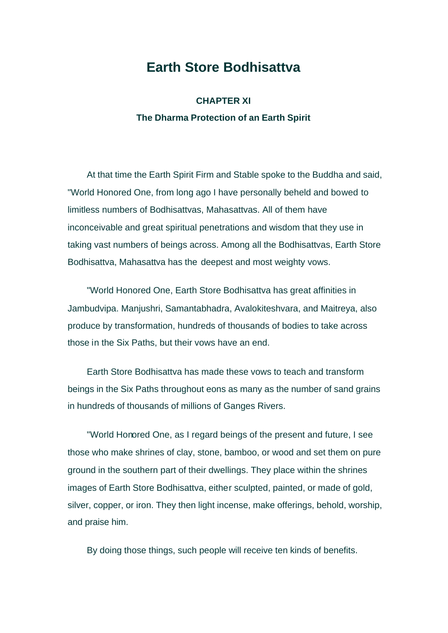## **Earth Store Bodhisattva**

**CHAPTER XI The Dharma Protection of an Earth Spirit** 

At that time the Earth Spirit Firm and Stable spoke to the Buddha and said, "World Honored One, from long ago I have personally beheld and bowed to limitless numbers of Bodhisattvas, Mahasattvas. All of them have inconceivable and great spiritual penetrations and wisdom that they use in taking vast numbers of beings across. Among all the Bodhisattvas, Earth Store Bodhisattva, Mahasattva has the deepest and most weighty vows.

"World Honored One, Earth Store Bodhisattva has great affinities in Jambudvipa. Manjushri, Samantabhadra, Avalokiteshvara, and Maitreya, also produce by transformation, hundreds of thousands of bodies to take across those in the Six Paths, but their vows have an end.

Earth Store Bodhisattva has made these vows to teach and transform beings in the Six Paths throughout eons as many as the number of sand grains in hundreds of thousands of millions of Ganges Rivers.

"World Honored One, as I regard beings of the present and future, I see those who make shrines of clay, stone, bamboo, or wood and set them on pure ground in the southern part of their dwellings. They place within the shrines images of Earth Store Bodhisattva, either sculpted, painted, or made of gold, silver, copper, or iron. They then light incense, make offerings, behold, worship, and praise him.

By doing those things, such people will receive ten kinds of benefits.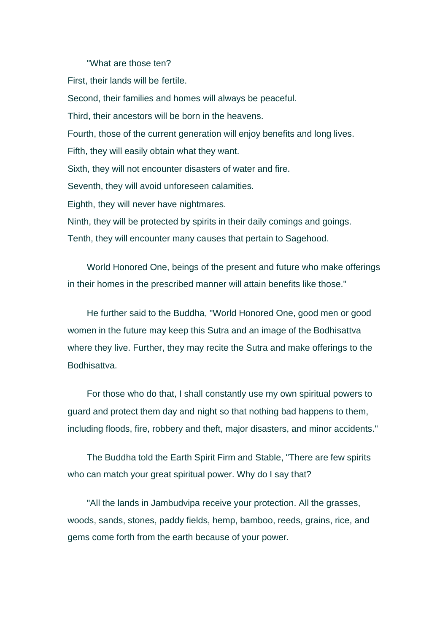"What are those ten?

First, their lands will be fertile. Second, their families and homes will always be peaceful. Third, their ancestors will be born in the heavens. Fourth, those of the current generation will enjoy benefits and long lives. Fifth, they will easily obtain what they want. Sixth, they will not encounter disasters of water and fire. Seventh, they will avoid unforeseen calamities. Eighth, they will never have nightmares. Ninth, they will be protected by spirits in their daily comings and goings. Tenth, they will encounter many causes that pertain to Sagehood.

World Honored One, beings of the present and future who make offerings in their homes in the prescribed manner will attain benefits like those."

He further said to the Buddha, "World Honored One, good men or good women in the future may keep this Sutra and an image of the Bodhisattva where they live. Further, they may recite the Sutra and make offerings to the Bodhisattva.

For those who do that, I shall constantly use my own spiritual powers to guard and protect them day and night so that nothing bad happens to them, including floods, fire, robbery and theft, major disasters, and minor accidents."

The Buddha told the Earth Spirit Firm and Stable, "There are few spirits who can match your great spiritual power. Why do I say that?

"All the lands in Jambudvipa receive your protection. All the grasses, woods, sands, stones, paddy fields, hemp, bamboo, reeds, grains, rice, and gems come forth from the earth because of your power.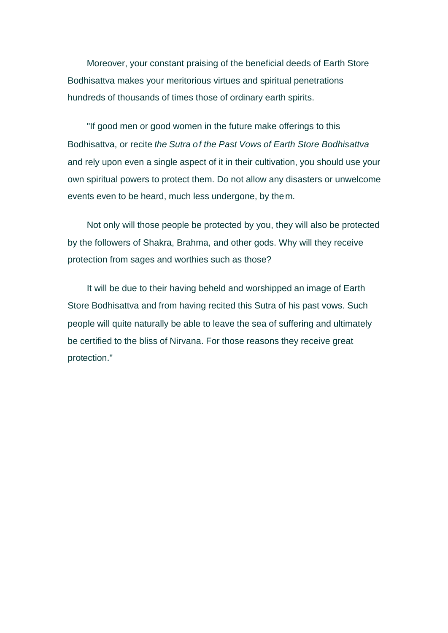Moreover, your constant praising of the beneficial deeds of Earth Store Bodhisattva makes your meritorious virtues and spiritual penetrations hundreds of thousands of times those of ordinary earth spirits.

"If good men or good women in the future make offerings to this Bodhisattva, or recite *the Sutra of the Past Vows of Earth Store Bodhisattva* and rely upon even a single aspect of it in their cultivation, you should use your own spiritual powers to protect them. Do not allow any disasters or unwelcome events even to be heard, much less undergone, by them.

Not only will those people be protected by you, they will also be protected by the followers of Shakra, Brahma, and other gods. Why will they receive protection from sages and worthies such as those?

It will be due to their having beheld and worshipped an image of Earth Store Bodhisattva and from having recited this Sutra of his past vows. Such people will quite naturally be able to leave the sea of suffering and ultimately be certified to the bliss of Nirvana. For those reasons they receive great protection."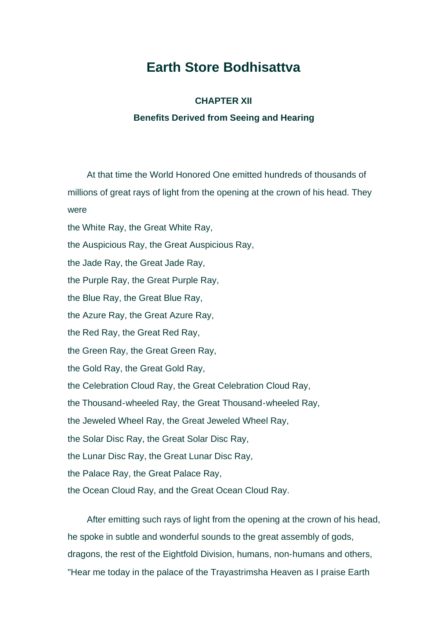# **Earth Store Bodhisattva**

#### **CHAPTER XII**

#### **Benefits Derived from Seeing and Hearing**

At that time the World Honored One emitted hundreds of thousands of millions of great rays of light from the opening at the crown of his head. They were

the White Ray, the Great White Ray,

the Auspicious Ray, the Great Auspicious Ray,

the Jade Ray, the Great Jade Ray,

the Purple Ray, the Great Purple Ray,

the Blue Ray, the Great Blue Ray,

the Azure Ray, the Great Azure Ray,

the Red Ray, the Great Red Ray,

the Green Ray, the Great Green Ray,

the Gold Ray, the Great Gold Ray,

the Celebration Cloud Ray, the Great Celebration Cloud Ray,

the Thousand-wheeled Ray, the Great Thousand-wheeled Ray,

the Jeweled Wheel Ray, the Great Jeweled Wheel Ray,

the Solar Disc Ray, the Great Solar Disc Ray,

the Lunar Disc Ray, the Great Lunar Disc Ray,

the Palace Ray, the Great Palace Ray,

the Ocean Cloud Ray, and the Great Ocean Cloud Ray.

After emitting such rays of light from the opening at the crown of his head, he spoke in subtle and wonderful sounds to the great assembly of gods, dragons, the rest of the Eightfold Division, humans, non-humans and others, "Hear me today in the palace of the Trayastrimsha Heaven as I praise Earth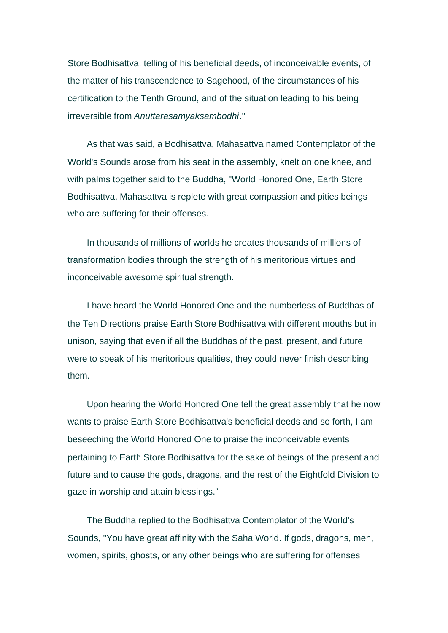Store Bodhisattva, telling of his beneficial deeds, of inconceivable events, of the matter of his transcendence to Sagehood, of the circumstances of his certification to the Tenth Ground, and of the situation leading to his being irreversible from *Anuttarasamyaksambodhi*."

As that was said, a Bodhisattva, Mahasattva named Contemplator of the World's Sounds arose from his seat in the assembly, knelt on one knee, and with palms together said to the Buddha, "World Honored One, Earth Store Bodhisattva, Mahasattva is replete with great compassion and pities beings who are suffering for their offenses.

In thousands of millions of worlds he creates thousands of millions of transformation bodies through the strength of his meritorious virtues and inconceivable awesome spiritual strength.

I have heard the World Honored One and the numberless of Buddhas of the Ten Directions praise Earth Store Bodhisattva with different mouths but in unison, saying that even if all the Buddhas of the past, present, and future were to speak of his meritorious qualities, they could never finish describing them.

Upon hearing the World Honored One tell the great assembly that he now wants to praise Earth Store Bodhisattva's beneficial deeds and so forth, I am beseeching the World Honored One to praise the inconceivable events pertaining to Earth Store Bodhisattva for the sake of beings of the present and future and to cause the gods, dragons, and the rest of the Eightfold Division to gaze in worship and attain blessings."

The Buddha replied to the Bodhisattva Contemplator of the World's Sounds, "You have great affinity with the Saha World. If gods, dragons, men, women, spirits, ghosts, or any other beings who are suffering for offenses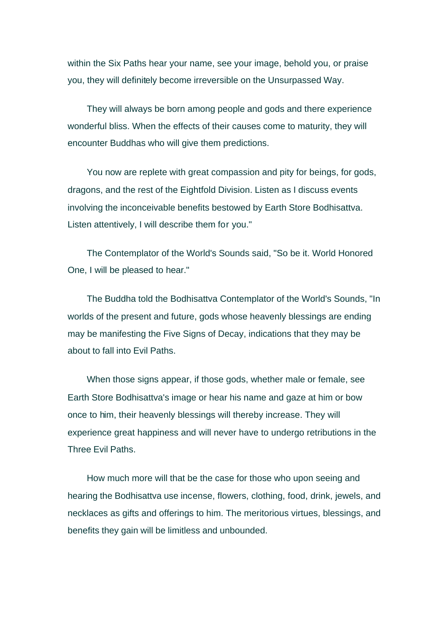within the Six Paths hear your name, see your image, behold you, or praise you, they will definitely become irreversible on the Unsurpassed Way.

They will always be born among people and gods and there experience wonderful bliss. When the effects of their causes come to maturity, they will encounter Buddhas who will give them predictions.

You now are replete with great compassion and pity for beings, for gods, dragons, and the rest of the Eightfold Division. Listen as I discuss events involving the inconceivable benefits bestowed by Earth Store Bodhisattva. Listen attentively, I will describe them for you."

The Contemplator of the World's Sounds said, "So be it. World Honored One, I will be pleased to hear."

The Buddha told the Bodhisattva Contemplator of the World's Sounds, "In worlds of the present and future, gods whose heavenly blessings are ending may be manifesting the Five Signs of Decay, indications that they may be about to fall into Evil Paths.

When those signs appear, if those gods, whether male or female, see Earth Store Bodhisattva's image or hear his name and gaze at him or bow once to him, their heavenly blessings will thereby increase. They will experience great happiness and will never have to undergo retributions in the Three Evil Paths.

How much more will that be the case for those who upon seeing and hearing the Bodhisattva use incense, flowers, clothing, food, drink, jewels, and necklaces as gifts and offerings to him. The meritorious virtues, blessings, and benefits they gain will be limitless and unbounded.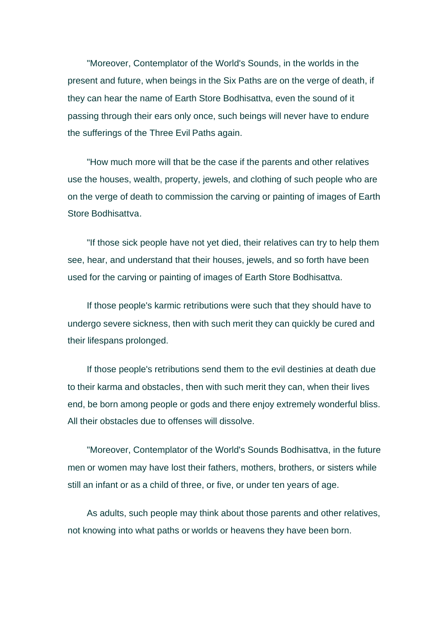"Moreover, Contemplator of the World's Sounds, in the worlds in the present and future, when beings in the Six Paths are on the verge of death, if they can hear the name of Earth Store Bodhisattva, even the sound of it passing through their ears only once, such beings will never have to endure the sufferings of the Three Evil Paths again.

"How much more will that be the case if the parents and other relatives use the houses, wealth, property, jewels, and clothing of such people who are on the verge of death to commission the carving or painting of images of Earth Store Bodhisattva.

"If those sick people have not yet died, their relatives can try to help them see, hear, and understand that their houses, jewels, and so forth have been used for the carving or painting of images of Earth Store Bodhisattva.

If those people's karmic retributions were such that they should have to undergo severe sickness, then with such merit they can quickly be cured and their lifespans prolonged.

If those people's retributions send them to the evil destinies at death due to their karma and obstacles, then with such merit they can, when their lives end, be born among people or gods and there enjoy extremely wonderful bliss. All their obstacles due to offenses will dissolve.

"Moreover, Contemplator of the World's Sounds Bodhisattva, in the future men or women may have lost their fathers, mothers, brothers, or sisters while still an infant or as a child of three, or five, or under ten years of age.

As adults, such people may think about those parents and other relatives, not knowing into what paths or worlds or heavens they have been born.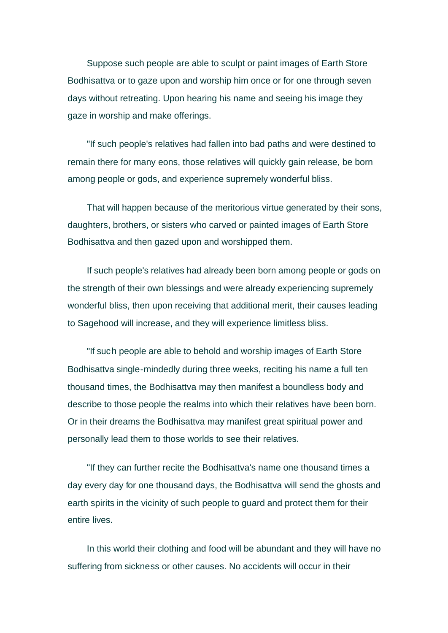Suppose such people are able to sculpt or paint images of Earth Store Bodhisattva or to gaze upon and worship him once or for one through seven days without retreating. Upon hearing his name and seeing his image they gaze in worship and make offerings.

"If such people's relatives had fallen into bad paths and were destined to remain there for many eons, those relatives will quickly gain release, be born among people or gods, and experience supremely wonderful bliss.

That will happen because of the meritorious virtue generated by their sons, daughters, brothers, or sisters who carved or painted images of Earth Store Bodhisattva and then gazed upon and worshipped them.

If such people's relatives had already been born among people or gods on the strength of their own blessings and were already experiencing supremely wonderful bliss, then upon receiving that additional merit, their causes leading to Sagehood will increase, and they will experience limitless bliss.

"If such people are able to behold and worship images of Earth Store Bodhisattva single-mindedly during three weeks, reciting his name a full ten thousand times, the Bodhisattva may then manifest a boundless body and describe to those people the realms into which their relatives have been born. Or in their dreams the Bodhisattva may manifest great spiritual power and personally lead them to those worlds to see their relatives.

"If they can further recite the Bodhisattva's name one thousand times a day every day for one thousand days, the Bodhisattva will send the ghosts and earth spirits in the vicinity of such people to guard and protect them for their entire lives.

In this world their clothing and food will be abundant and they will have no suffering from sickness or other causes. No accidents will occur in their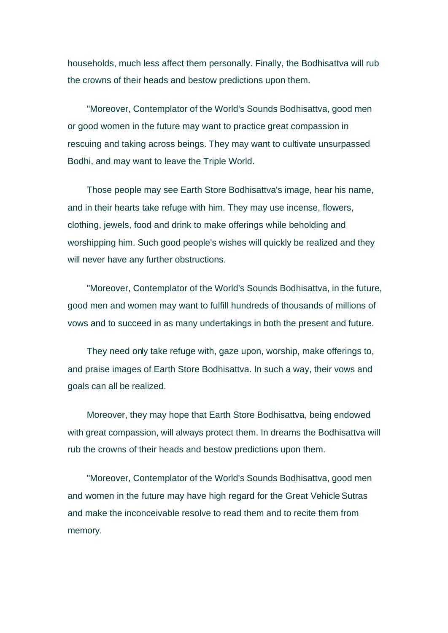households, much less affect them personally. Finally, the Bodhisattva will rub the crowns of their heads and bestow predictions upon them.

"Moreover, Contemplator of the World's Sounds Bodhisattva, good men or good women in the future may want to practice great compassion in rescuing and taking across beings. They may want to cultivate unsurpassed Bodhi, and may want to leave the Triple World.

Those people may see Earth Store Bodhisattva's image, hear his name, and in their hearts take refuge with him. They may use incense, flowers, clothing, jewels, food and drink to make offerings while beholding and worshipping him. Such good people's wishes will quickly be realized and they will never have any further obstructions.

"Moreover, Contemplator of the World's Sounds Bodhisattva, in the future, good men and women may want to fulfill hundreds of thousands of millions of vows and to succeed in as many undertakings in both the present and future.

They need only take refuge with, gaze upon, worship, make offerings to, and praise images of Earth Store Bodhisattva. In such a way, their vows and goals can all be realized.

Moreover, they may hope that Earth Store Bodhisattva, being endowed with great compassion, will always protect them. In dreams the Bodhisattva will rub the crowns of their heads and bestow predictions upon them.

"Moreover, Contemplator of the World's Sounds Bodhisattva, good men and women in the future may have high regard for the Great Vehicle Sutras and make the inconceivable resolve to read them and to recite them from memory.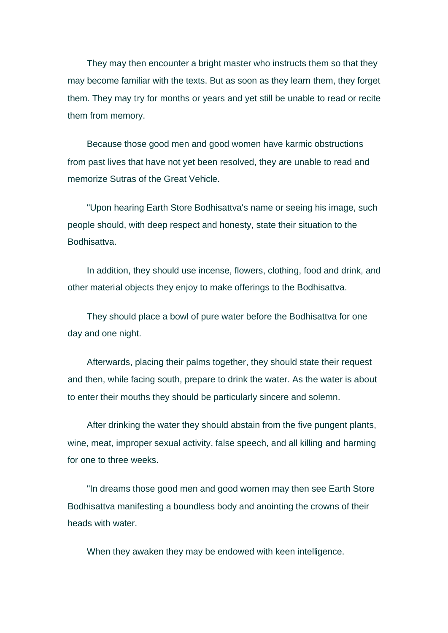They may then encounter a bright master who instructs them so that they may become familiar with the texts. But as soon as they learn them, they forget them. They may try for months or years and yet still be unable to read or recite them from memory.

Because those good men and good women have karmic obstructions from past lives that have not yet been resolved, they are unable to read and memorize Sutras of the Great Vehicle.

"Upon hearing Earth Store Bodhisattva's name or seeing his image, such people should, with deep respect and honesty, state their situation to the Bodhisattva.

In addition, they should use incense, flowers, clothing, food and drink, and other material objects they enjoy to make offerings to the Bodhisattva.

They should place a bowl of pure water before the Bodhisattva for one day and one night.

Afterwards, placing their palms together, they should state their request and then, while facing south, prepare to drink the water. As the water is about to enter their mouths they should be particularly sincere and solemn.

After drinking the water they should abstain from the five pungent plants, wine, meat, improper sexual activity, false speech, and all killing and harming for one to three weeks.

"In dreams those good men and good women may then see Earth Store Bodhisattva manifesting a boundless body and anointing the crowns of their heads with water.

When they awaken they may be endowed with keen intelligence.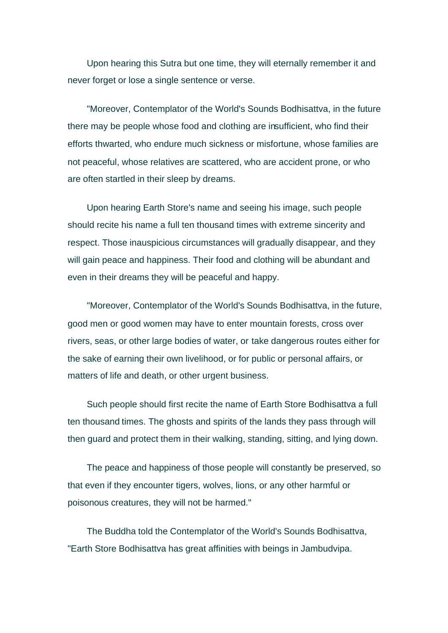Upon hearing this Sutra but one time, they will eternally remember it and never forget or lose a single sentence or verse.

"Moreover, Contemplator of the World's Sounds Bodhisattva, in the future there may be people whose food and clothing are insufficient, who find their efforts thwarted, who endure much sickness or misfortune, whose families are not peaceful, whose relatives are scattered, who are accident prone, or who are often startled in their sleep by dreams.

Upon hearing Earth Store's name and seeing his image, such people should recite his name a full ten thousand times with extreme sincerity and respect. Those inauspicious circumstances will gradually disappear, and they will gain peace and happiness. Their food and clothing will be abundant and even in their dreams they will be peaceful and happy.

"Moreover, Contemplator of the World's Sounds Bodhisattva, in the future, good men or good women may have to enter mountain forests, cross over rivers, seas, or other large bodies of water, or take dangerous routes either for the sake of earning their own livelihood, or for public or personal affairs, or matters of life and death, or other urgent business.

Such people should first recite the name of Earth Store Bodhisattva a full ten thousand times. The ghosts and spirits of the lands they pass through will then guard and protect them in their walking, standing, sitting, and lying down.

The peace and happiness of those people will constantly be preserved, so that even if they encounter tigers, wolves, lions, or any other harmful or poisonous creatures, they will not be harmed."

The Buddha told the Contemplator of the World's Sounds Bodhisattva, "Earth Store Bodhisattva has great affinities with beings in Jambudvipa.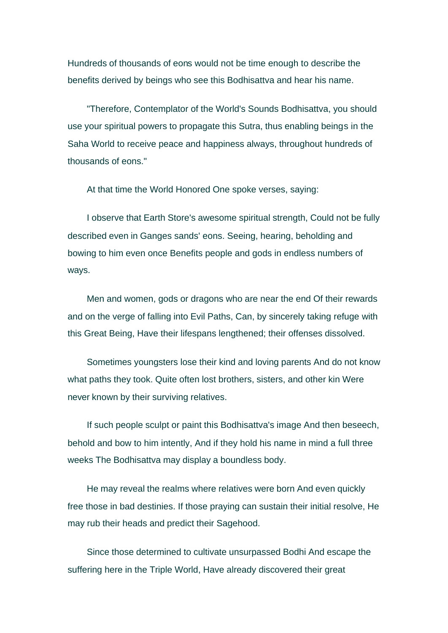Hundreds of thousands of eons would not be time enough to describe the benefits derived by beings who see this Bodhisattva and hear his name.

"Therefore, Contemplator of the World's Sounds Bodhisattva, you should use your spiritual powers to propagate this Sutra, thus enabling beings in the Saha World to receive peace and happiness always, throughout hundreds of thousands of eons."

At that time the World Honored One spoke verses, saying:

I observe that Earth Store's awesome spiritual strength, Could not be fully described even in Ganges sands' eons. Seeing, hearing, beholding and bowing to him even once Benefits people and gods in endless numbers of ways.

Men and women, gods or dragons who are near the end Of their rewards and on the verge of falling into Evil Paths, Can, by sincerely taking refuge with this Great Being, Have their lifespans lengthened; their offenses dissolved.

Sometimes youngsters lose their kind and loving parents And do not know what paths they took. Quite often lost brothers, sisters, and other kin Were never known by their surviving relatives.

If such people sculpt or paint this Bodhisattva's image And then beseech, behold and bow to him intently, And if they hold his name in mind a full three weeks The Bodhisattva may display a boundless body.

He may reveal the realms where relatives were born And even quickly free those in bad destinies. If those praying can sustain their initial resolve, He may rub their heads and predict their Sagehood.

Since those determined to cultivate unsurpassed Bodhi And escape the suffering here in the Triple World, Have already discovered their great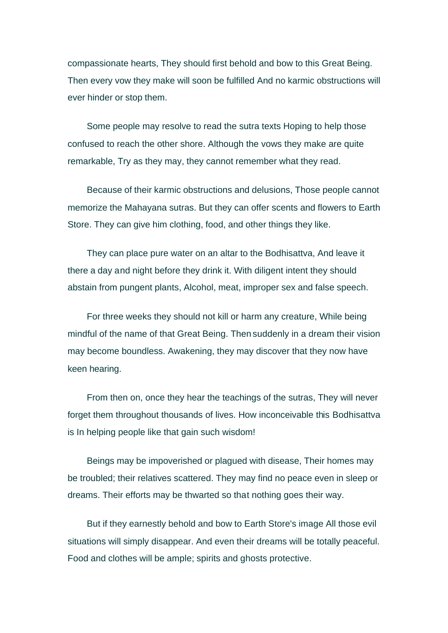compassionate hearts, They should first behold and bow to this Great Being. Then every vow they make will soon be fulfilled And no karmic obstructions will ever hinder or stop them.

Some people may resolve to read the sutra texts Hoping to help those confused to reach the other shore. Although the vows they make are quite remarkable, Try as they may, they cannot remember what they read.

Because of their karmic obstructions and delusions, Those people cannot memorize the Mahayana sutras. But they can offer scents and flowers to Earth Store. They can give him clothing, food, and other things they like.

They can place pure water on an altar to the Bodhisattva, And leave it there a day and night before they drink it. With diligent intent they should abstain from pungent plants, Alcohol, meat, improper sex and false speech.

For three weeks they should not kill or harm any creature, While being mindful of the name of that Great Being. Then suddenly in a dream their vision may become boundless. Awakening, they may discover that they now have keen hearing.

From then on, once they hear the teachings of the sutras, They will never forget them throughout thousands of lives. How inconceivable this Bodhisattva is In helping people like that gain such wisdom!

Beings may be impoverished or plagued with disease, Their homes may be troubled; their relatives scattered. They may find no peace even in sleep or dreams. Their efforts may be thwarted so that nothing goes their way.

But if they earnestly behold and bow to Earth Store's image All those evil situations will simply disappear. And even their dreams will be totally peaceful. Food and clothes will be ample; spirits and ghosts protective.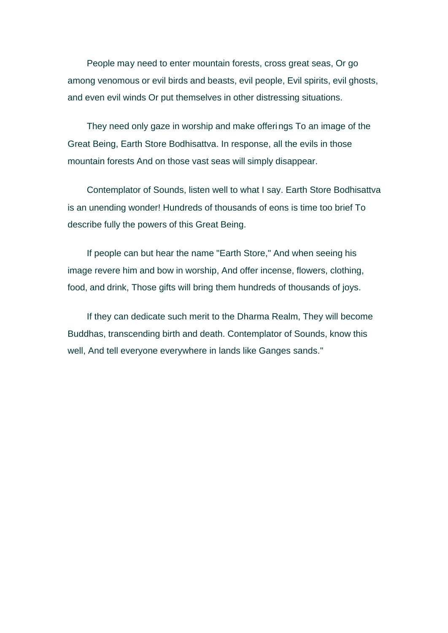People may need to enter mountain forests, cross great seas, Or go among venomous or evil birds and beasts, evil people, Evil spirits, evil ghosts, and even evil winds Or put themselves in other distressing situations.

They need only gaze in worship and make offerings To an image of the Great Being, Earth Store Bodhisattva. In response, all the evils in those mountain forests And on those vast seas will simply disappear.

Contemplator of Sounds, listen well to what I say. Earth Store Bodhisattva is an unending wonder! Hundreds of thousands of eons is time too brief To describe fully the powers of this Great Being.

If people can but hear the name "Earth Store," And when seeing his image revere him and bow in worship, And offer incense, flowers, clothing, food, and drink, Those gifts will bring them hundreds of thousands of joys.

If they can dedicate such merit to the Dharma Realm, They will become Buddhas, transcending birth and death. Contemplator of Sounds, know this well, And tell everyone everywhere in lands like Ganges sands."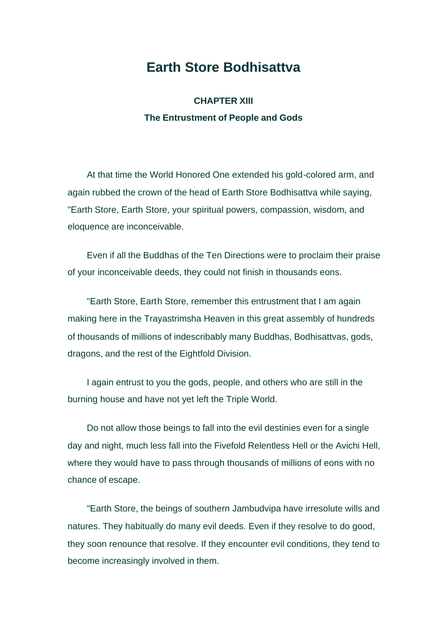## **Earth Store Bodhisattva**

**CHAPTER XIII The Entrustment of People and Gods**

At that time the World Honored One extended his gold-colored arm, and again rubbed the crown of the head of Earth Store Bodhisattva while saying, "Earth Store, Earth Store, your spiritual powers, compassion, wisdom, and eloquence are inconceivable.

Even if all the Buddhas of the Ten Directions were to proclaim their praise of your inconceivable deeds, they could not finish in thousands eons.

"Earth Store, Earth Store, remember this entrustment that I am again making here in the Trayastrimsha Heaven in this great assembly of hundreds of thousands of millions of indescribably many Buddhas, Bodhisattvas, gods, dragons, and the rest of the Eightfold Division.

I again entrust to you the gods, people, and others who are still in the burning house and have not yet left the Triple World.

Do not allow those beings to fall into the evil destinies even for a single day and night, much less fall into the Fivefold Relentless Hell or the Avichi Hell, where they would have to pass through thousands of millions of eons with no chance of escape.

"Earth Store, the beings of southern Jambudvipa have irresolute wills and natures. They habitually do many evil deeds. Even if they resolve to do good, they soon renounce that resolve. If they encounter evil conditions, they tend to become increasingly involved in them.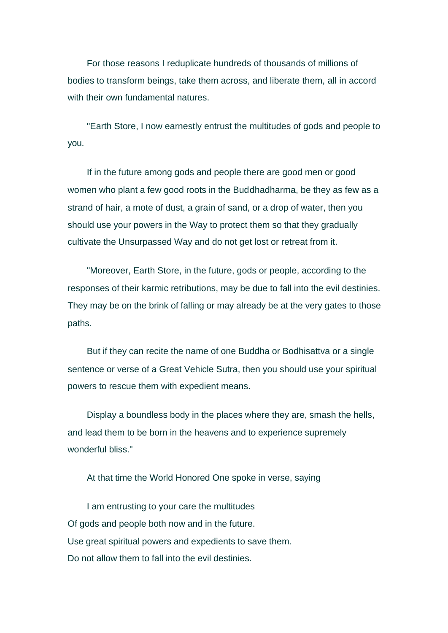For those reasons I reduplicate hundreds of thousands of millions of bodies to transform beings, take them across, and liberate them, all in accord with their own fundamental natures.

"Earth Store, I now earnestly entrust the multitudes of gods and people to you.

If in the future among gods and people there are good men or good women who plant a few good roots in the Buddhadharma, be they as few as a strand of hair, a mote of dust, a grain of sand, or a drop of water, then you should use your powers in the Way to protect them so that they gradually cultivate the Unsurpassed Way and do not get lost or retreat from it.

"Moreover, Earth Store, in the future, gods or people, according to the responses of their karmic retributions, may be due to fall into the evil destinies. They may be on the brink of falling or may already be at the very gates to those paths.

But if they can recite the name of one Buddha or Bodhisattva or a single sentence or verse of a Great Vehicle Sutra, then you should use your spiritual powers to rescue them with expedient means.

Display a boundless body in the places where they are, smash the hells, and lead them to be born in the heavens and to experience supremely wonderful bliss."

At that time the World Honored One spoke in verse, saying

I am entrusting to your care the multitudes Of gods and people both now and in the future. Use great spiritual powers and expedients to save them. Do not allow them to fall into the evil destinies.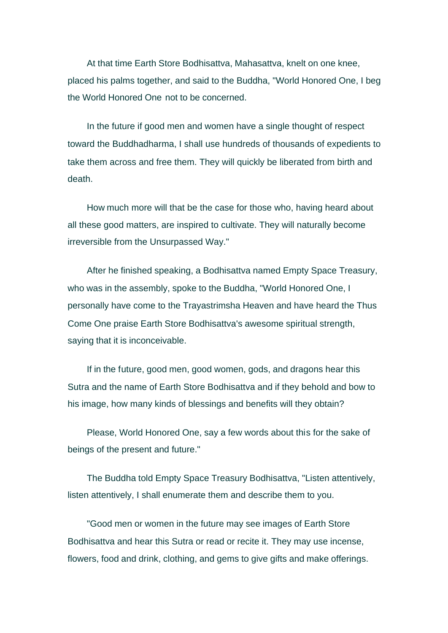At that time Earth Store Bodhisattva, Mahasattva, knelt on one knee, placed his palms together, and said to the Buddha, "World Honored One, I beg the World Honored One not to be concerned.

In the future if good men and women have a single thought of respect toward the Buddhadharma, I shall use hundreds of thousands of expedients to take them across and free them. They will quickly be liberated from birth and death.

How much more will that be the case for those who, having heard about all these good matters, are inspired to cultivate. They will naturally become irreversible from the Unsurpassed Way."

After he finished speaking, a Bodhisattva named Empty Space Treasury, who was in the assembly, spoke to the Buddha, "World Honored One, I personally have come to the Trayastrimsha Heaven and have heard the Thus Come One praise Earth Store Bodhisattva's awesome spiritual strength, saying that it is inconceivable.

If in the future, good men, good women, gods, and dragons hear this Sutra and the name of Earth Store Bodhisattva and if they behold and bow to his image, how many kinds of blessings and benefits will they obtain?

Please, World Honored One, say a few words about this for the sake of beings of the present and future."

The Buddha told Empty Space Treasury Bodhisattva, "Listen attentively, listen attentively, I shall enumerate them and describe them to you.

"Good men or women in the future may see images of Earth Store Bodhisattva and hear this Sutra or read or recite it. They may use incense, flowers, food and drink, clothing, and gems to give gifts and make offerings.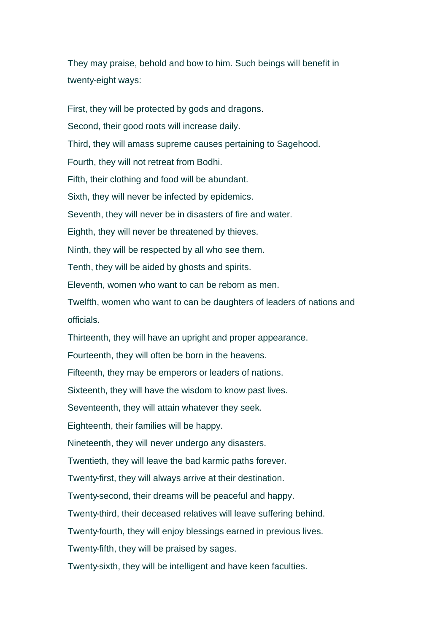They may praise, behold and bow to him. Such beings will benefit in twenty-eight ways:

First, they will be protected by gods and dragons. Second, their good roots will increase daily. Third, they will amass supreme causes pertaining to Sagehood. Fourth, they will not retreat from Bodhi. Fifth, their clothing and food will be abundant. Sixth, they will never be infected by epidemics. Seventh, they will never be in disasters of fire and water. Eighth, they will never be threatened by thieves. Ninth, they will be respected by all who see them. Tenth, they will be aided by ghosts and spirits. Eleventh, women who want to can be reborn as men. Twelfth, women who want to can be daughters of leaders of nations and officials. Thirteenth, they will have an upright and proper appearance. Fourteenth, they will often be born in the heavens. Fifteenth, they may be emperors or leaders of nations. Sixteenth, they will have the wisdom to know past lives. Seventeenth, they will attain whatever they seek. Eighteenth, their families will be happy. Nineteenth, they will never undergo any disasters. Twentieth, they will leave the bad karmic paths forever. Twenty-first, they will always arrive at their destination. Twenty-second, their dreams will be peaceful and happy. Twenty-third, their deceased relatives will leave suffering behind. Twenty-fourth, they will enjoy blessings earned in previous lives. Twenty-fifth, they will be praised by sages. Twenty-sixth, they will be intelligent and have keen faculties.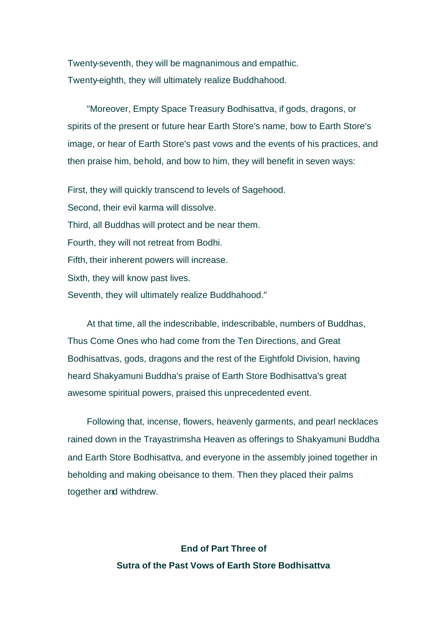Twenty-seventh, they will be magnanimous and empathic. Twenty-eighth, they will ultimately realize Buddhahood.

"Moreover, Empty Space Treasury Bodhisattva, if gods, dragons, or spirits of the present or future hear Earth Store's name, bow to Earth Store's image, or hear of Earth Store's past vows and the events of his practices, and then praise him, behold, and bow to him, they will benefit in seven ways:

First, they will quickly transcend to levels of Sagehood. Second, their evil karma will dissolve. Third, all Buddhas will protect and be near them. Fourth, they will not retreat from Bodhi. Fifth, their inherent powers will increase. Sixth, they will know past lives. Seventh, they will ultimately realize Buddhahood."

At that time, all the indescribable, indescribable, numbers of Buddhas, Thus Come Ones who had come from the Ten Directions, and Great Bodhisattvas, gods, dragons and the rest of the Eightfold Division, having heard Shakyamuni Buddha's praise of Earth Store Bodhisattva's great awesome spiritual powers, praised this unprecedented event.

Following that, incense, flowers, heavenly garments, and pearl necklaces rained down in the Trayastrimsha Heaven as offerings to Shakyamuni Buddha and Earth Store Bodhisattva, and everyone in the assembly joined together in beholding and making obeisance to them. Then they placed their palms together and withdrew.

> **End of Part Three of Sutra of the Past Vows of Earth Store Bodhisattva**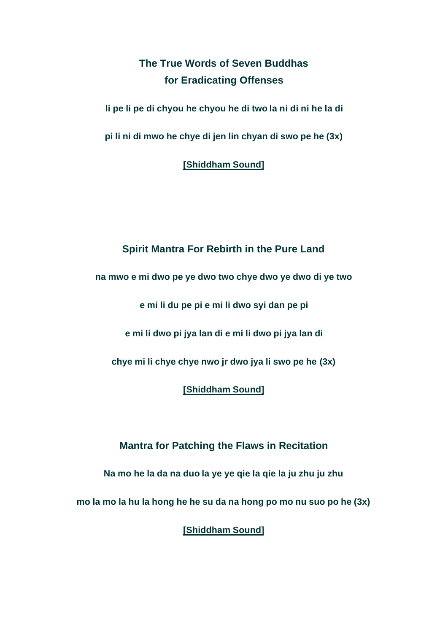# **The True Words of Seven Buddhas for Eradicating Offenses**

**li pe li pe di chyou he chyou he di two la ni di ni he la di**

**pi li ni di mwo he chye di jen lin chyan di swo pe he (3x)** 

**[Shiddham Sound]**

### **Spirit Mantra For Rebirth in the Pure Land**

**na mwo e mi dwo pe ye dwo two chye dwo ye dwo di ye two** 

**e mi li du pe pi e mi li dwo syi dan pe pi**

**e mi li dwo pi jya lan di e mi li dwo pi jya lan di**

**chye mi li chye chye nwo jr dwo jya li swo pe he (3x)**

**[Shiddham Sound]**

**Mantra for Patching the Flaws in Recitation** 

**Na mo he la da na duo la ye ye qie la qie la ju zhu ju zhu**

**mo la mo la hu la hong he he su da na hong po mo nu suo po he (3x)** 

**[Shiddham Sound]**